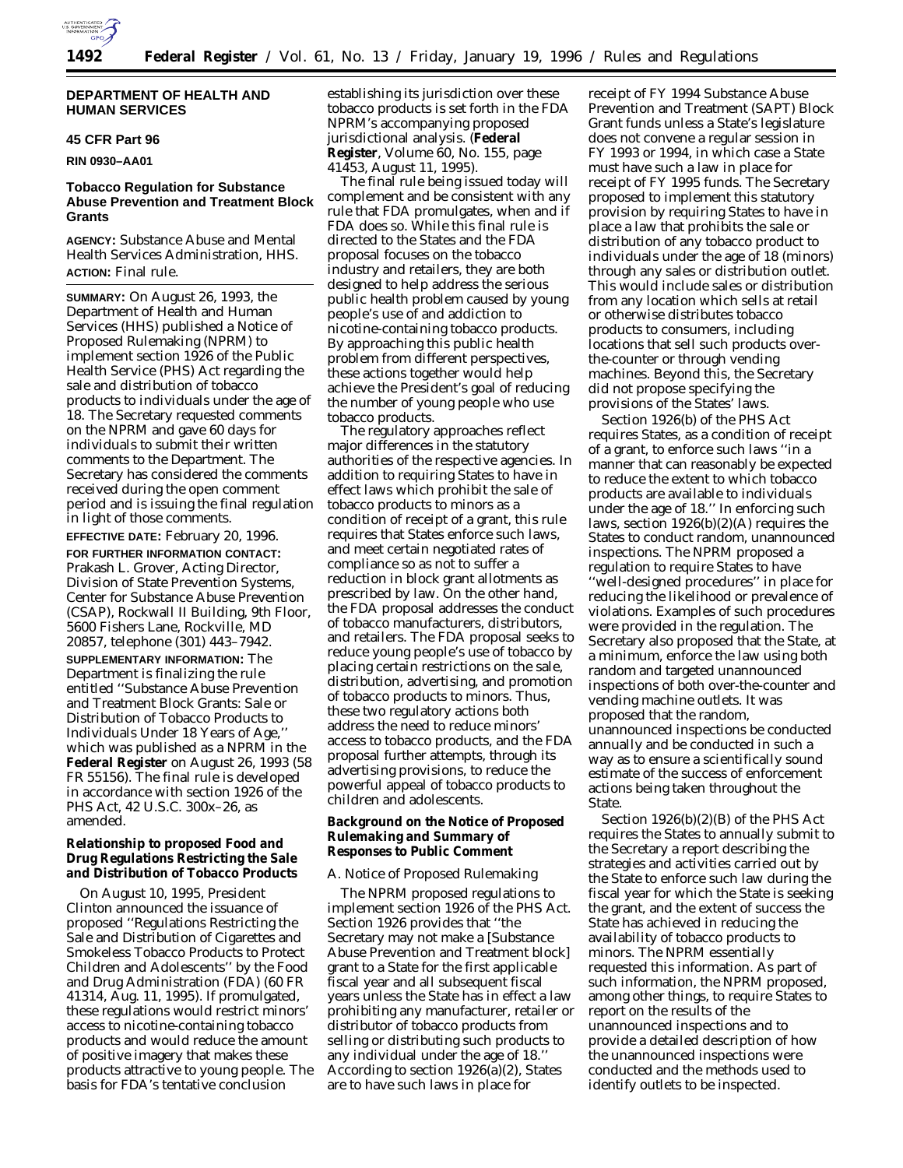

# **DEPARTMENT OF HEALTH AND HUMAN SERVICES**

# **45 CFR Part 96**

# **RIN 0930–AA01**

# **Tobacco Regulation for Substance Abuse Prevention and Treatment Block Grants**

**AGENCY:** Substance Abuse and Mental Health Services Administration, HHS. **ACTION:** Final rule.

**SUMMARY:** On August 26, 1993, the Department of Health and Human Services (HHS) published a Notice of Proposed Rulemaking (NPRM) to implement section 1926 of the Public Health Service (PHS) Act regarding the sale and distribution of tobacco products to individuals under the age of 18. The Secretary requested comments on the NPRM and gave 60 days for individuals to submit their written comments to the Department. The Secretary has considered the comments received during the open comment period and is issuing the final regulation in light of those comments.

**EFFECTIVE DATE:** February 20, 1996.

**FOR FURTHER INFORMATION CONTACT:** Prakash L. Grover, Acting Director, Division of State Prevention Systems, Center for Substance Abuse Prevention (CSAP), Rockwall II Building, 9th Floor, 5600 Fishers Lane, Rockville, MD 20857, telephone (301) 443–7942. **SUPPLEMENTARY INFORMATION:** The Department is finalizing the rule entitled ''Substance Abuse Prevention and Treatment Block Grants: Sale or Distribution of Tobacco Products to Individuals Under 18 Years of Age,'' which was published as a NPRM in the **Federal Register** on August 26, 1993 (58 FR 55156). The final rule is developed in accordance with section 1926 of the PHS Act, 42 U.S.C. 300x–26, as amended.

**Relationship to proposed Food and Drug Regulations Restricting the Sale and Distribution of Tobacco Products**

On August 10, 1995, President Clinton announced the issuance of proposed ''Regulations Restricting the Sale and Distribution of Cigarettes and Smokeless Tobacco Products to Protect Children and Adolescents'' by the Food and Drug Administration (FDA) (60 FR 41314, Aug. 11, 1995). If promulgated, these regulations would restrict minors' access to nicotine-containing tobacco products and would reduce the amount of positive imagery that makes these products attractive to young people. The basis for FDA's tentative conclusion

establishing its jurisdiction over these tobacco products is set forth in the FDA NPRM's accompanying proposed jurisdictional analysis. (**Federal Register**, Volume 60, No. 155, page 41453, August 11, 1995).

The final rule being issued today will complement and be consistent with any rule that FDA promulgates, when and if FDA does so. While this final rule is directed to the States and the FDA proposal focuses on the tobacco industry and retailers, they are both designed to help address the serious public health problem caused by young people's use of and addiction to nicotine-containing tobacco products. By approaching this public health problem from different perspectives, these actions together would help achieve the President's goal of reducing the number of young people who use tobacco products.

The regulatory approaches reflect major differences in the statutory authorities of the respective agencies. In addition to requiring States to have in effect laws which prohibit the sale of tobacco products to minors as a condition of receipt of a grant, this rule requires that States enforce such laws, and meet certain negotiated rates of compliance so as not to suffer a reduction in block grant allotments as prescribed by law. On the other hand, the FDA proposal addresses the conduct of tobacco manufacturers, distributors, and retailers. The FDA proposal seeks to reduce young people's use of tobacco by placing certain restrictions on the sale, distribution, advertising, and promotion of tobacco products to minors. Thus, these two regulatory actions both address the need to reduce minors' access to tobacco products, and the FDA proposal further attempts, through its advertising provisions, to reduce the powerful appeal of tobacco products to children and adolescents.

**Background on the Notice of Proposed Rulemaking and Summary of Responses to Public Comment**

# *A. Notice of Proposed Rulemaking*

The NPRM proposed regulations to implement section 1926 of the PHS Act. Section 1926 provides that ''the Secretary may not make a [Substance Abuse Prevention and Treatment block] grant to a State for the first applicable fiscal year and all subsequent fiscal years unless the State has in effect a law prohibiting any manufacturer, retailer or distributor of tobacco products from selling or distributing such products to any individual under the age of 18.'' According to section 1926(a)(2), States are to have such laws in place for

receipt of FY 1994 Substance Abuse Prevention and Treatment (SAPT) Block Grant funds unless a State's legislature does not convene a regular session in FY 1993 or 1994, in which case a State must have such a law in place for receipt of FY 1995 funds. The Secretary proposed to implement this statutory provision by requiring States to have in place a law that prohibits the sale or distribution of any tobacco product to individuals under the age of 18 (minors) through any sales or distribution outlet. This would include sales or distribution from any location which sells at retail or otherwise distributes tobacco products to consumers, including locations that sell such products overthe-counter or through vending machines. Beyond this, the Secretary did not propose specifying the provisions of the States' laws.

Section 1926(b) of the PHS Act requires States, as a condition of receipt of a grant, to enforce such laws ''in a manner that can reasonably be expected to reduce the extent to which tobacco products are available to individuals under the age of 18.'' In enforcing such laws, section 1926(b)(2)(A) requires the States to conduct random, unannounced inspections. The NPRM proposed a regulation to require States to have ''well-designed procedures'' in place for reducing the likelihood or prevalence of violations. Examples of such procedures were provided in the regulation. The Secretary also proposed that the State, at a minimum, enforce the law using both random and targeted unannounced inspections of both over-the-counter and vending machine outlets. It was proposed that the random, unannounced inspections be conducted annually and be conducted in such a way as to ensure a scientifically sound estimate of the success of enforcement actions being taken throughout the State.

Section 1926(b)(2)(B) of the PHS Act requires the States to annually submit to the Secretary a report describing the strategies and activities carried out by the State to enforce such law during the fiscal year for which the State is seeking the grant, and the extent of success the State has achieved in reducing the availability of tobacco products to minors. The NPRM essentially requested this information. As part of such information, the NPRM proposed, among other things, to require States to report on the results of the unannounced inspections and to provide a detailed description of how the unannounced inspections were conducted and the methods used to identify outlets to be inspected.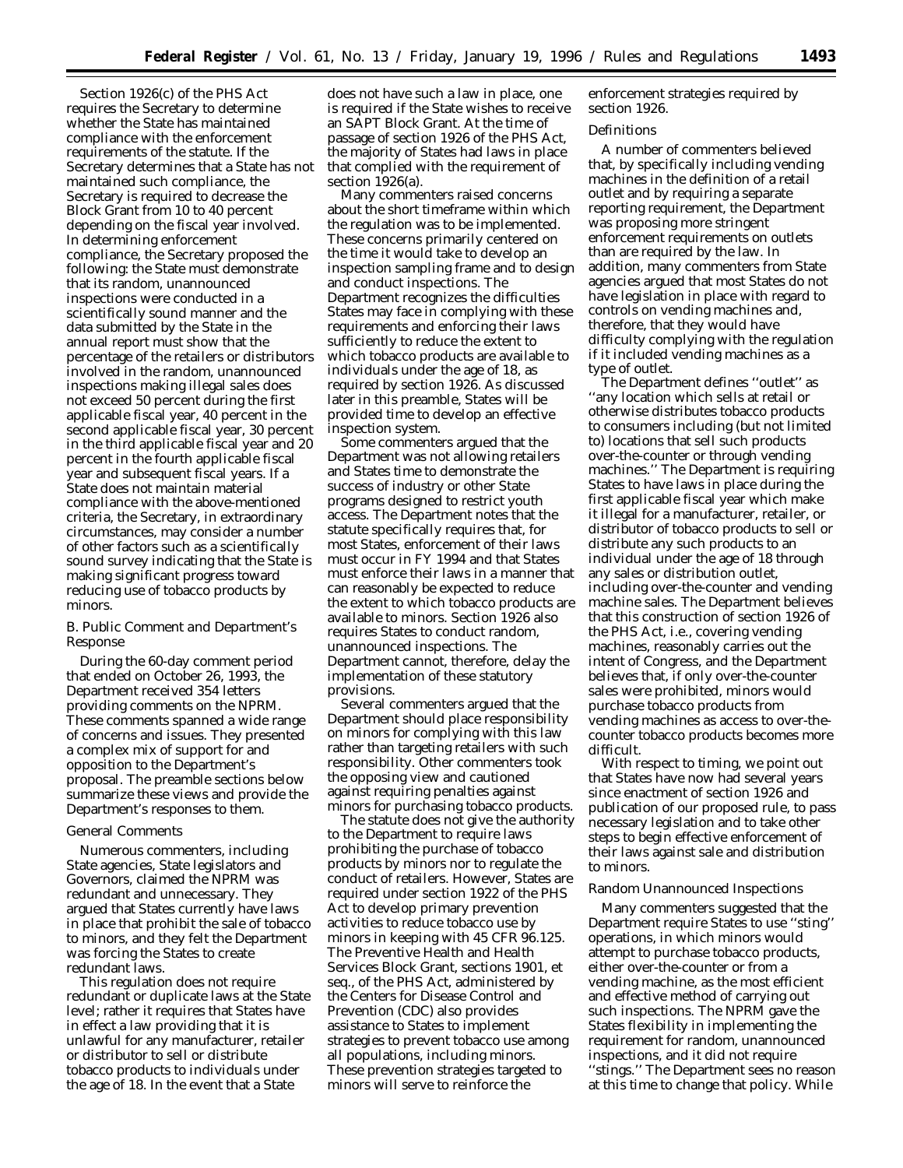Section 1926(c) of the PHS Act requires the Secretary to determine whether the State has maintained compliance with the enforcement requirements of the statute. If the Secretary determines that a State has not maintained such compliance, the Secretary is required to decrease the Block Grant from 10 to 40 percent depending on the fiscal year involved. In determining enforcement compliance, the Secretary proposed the following: the State must demonstrate that its random, unannounced inspections were conducted in a scientifically sound manner and the data submitted by the State in the annual report must show that the percentage of the retailers or distributors involved in the random, unannounced inspections making illegal sales does not exceed 50 percent during the first applicable fiscal year, 40 percent in the second applicable fiscal year, 30 percent in the third applicable fiscal year and 20 percent in the fourth applicable fiscal year and subsequent fiscal years. If a State does not maintain material compliance with the above-mentioned criteria, the Secretary, in extraordinary circumstances, may consider a number of other factors such as a scientifically sound survey indicating that the State is making significant progress toward reducing use of tobacco products by minors.

# *B. Public Comment and Department's Response*

During the 60-day comment period that ended on October 26, 1993, the Department received 354 letters providing comments on the NPRM. These comments spanned a wide range of concerns and issues. They presented a complex mix of support for and opposition to the Department's proposal. The preamble sections below summarize these views and provide the Department's responses to them.

# General Comments

Numerous commenters, including State agencies, State legislators and Governors, claimed the NPRM was redundant and unnecessary. They argued that States currently have laws in place that prohibit the sale of tobacco to minors, and they felt the Department was forcing the States to create redundant laws.

This regulation does not require redundant or duplicate laws at the State level; rather it requires that States have in effect a law providing that it is unlawful for any manufacturer, retailer or distributor to sell or distribute tobacco products to individuals under the age of 18. In the event that a State

does not have such a law in place, one is required if the State wishes to receive an SAPT Block Grant. At the time of passage of section 1926 of the PHS Act, the majority of States had laws in place that complied with the requirement of section 1926(a).

Many commenters raised concerns about the short timeframe within which the regulation was to be implemented. These concerns primarily centered on the time it would take to develop an inspection sampling frame and to design and conduct inspections. The Department recognizes the difficulties States may face in complying with these requirements and enforcing their laws sufficiently to reduce the extent to which tobacco products are available to individuals under the age of 18, as required by section 1926. As discussed later in this preamble, States will be provided time to develop an effective inspection system.

Some commenters argued that the Department was not allowing retailers and States time to demonstrate the success of industry or other State programs designed to restrict youth access. The Department notes that the statute specifically requires that, for most States, enforcement of their laws must occur in FY 1994 and that States must enforce their laws in a manner that can reasonably be expected to reduce the extent to which tobacco products are available to minors. Section 1926 also requires States to conduct random, unannounced inspections. The Department cannot, therefore, delay the implementation of these statutory provisions.

Several commenters argued that the Department should place responsibility on minors for complying with this law rather than targeting retailers with such responsibility. Other commenters took the opposing view and cautioned against requiring penalties against minors for purchasing tobacco products.

The statute does not give the authority to the Department to require laws prohibiting the purchase of tobacco products by minors nor to regulate the conduct of retailers. However, States are required under section 1922 of the PHS Act to develop primary prevention activities to reduce tobacco use by minors in keeping with 45 CFR 96.125. The Preventive Health and Health Services Block Grant, sections 1901, *et seq.,* of the PHS Act, administered by the Centers for Disease Control and Prevention (CDC) also provides assistance to States to implement strategies to prevent tobacco use among all populations, including minors. These prevention strategies targeted to minors will serve to reinforce the

enforcement strategies required by section 1926.

# Definitions

A number of commenters believed that, by specifically including vending machines in the definition of a retail outlet and by requiring a separate reporting requirement, the Department was proposing more stringent enforcement requirements on outlets than are required by the law. In addition, many commenters from State agencies argued that most States do not have legislation in place with regard to controls on vending machines and, therefore, that they would have difficulty complying with the regulation if it included vending machines as a type of outlet.

The Department defines ''outlet'' as ''any location which sells at retail or otherwise distributes tobacco products to consumers including (but not limited to) locations that sell such products over-the-counter or through vending machines.'' The Department is requiring States to have laws in place during the first applicable fiscal year which make it illegal for a manufacturer, retailer, or distributor of tobacco products to sell or distribute any such products to an individual under the age of 18 through any sales or distribution outlet, including over-the-counter and vending machine sales. The Department believes that this construction of section 1926 of the PHS Act, i.e., covering vending machines, reasonably carries out the intent of Congress, and the Department believes that, if only over-the-counter sales were prohibited, minors would purchase tobacco products from vending machines as access to over-thecounter tobacco products becomes more difficult.

With respect to timing, we point out that States have now had several years since enactment of section 1926 and publication of our proposed rule, to pass necessary legislation and to take other steps to begin effective enforcement of their laws against sale and distribution to minors.

#### Random Unannounced Inspections

Many commenters suggested that the Department require States to use ''sting'' operations, in which minors would attempt to purchase tobacco products, either over-the-counter or from a vending machine, as the most efficient and effective method of carrying out such inspections. The NPRM gave the States flexibility in implementing the requirement for random, unannounced inspections, and it did not require ''stings.'' The Department sees no reason at this time to change that policy. While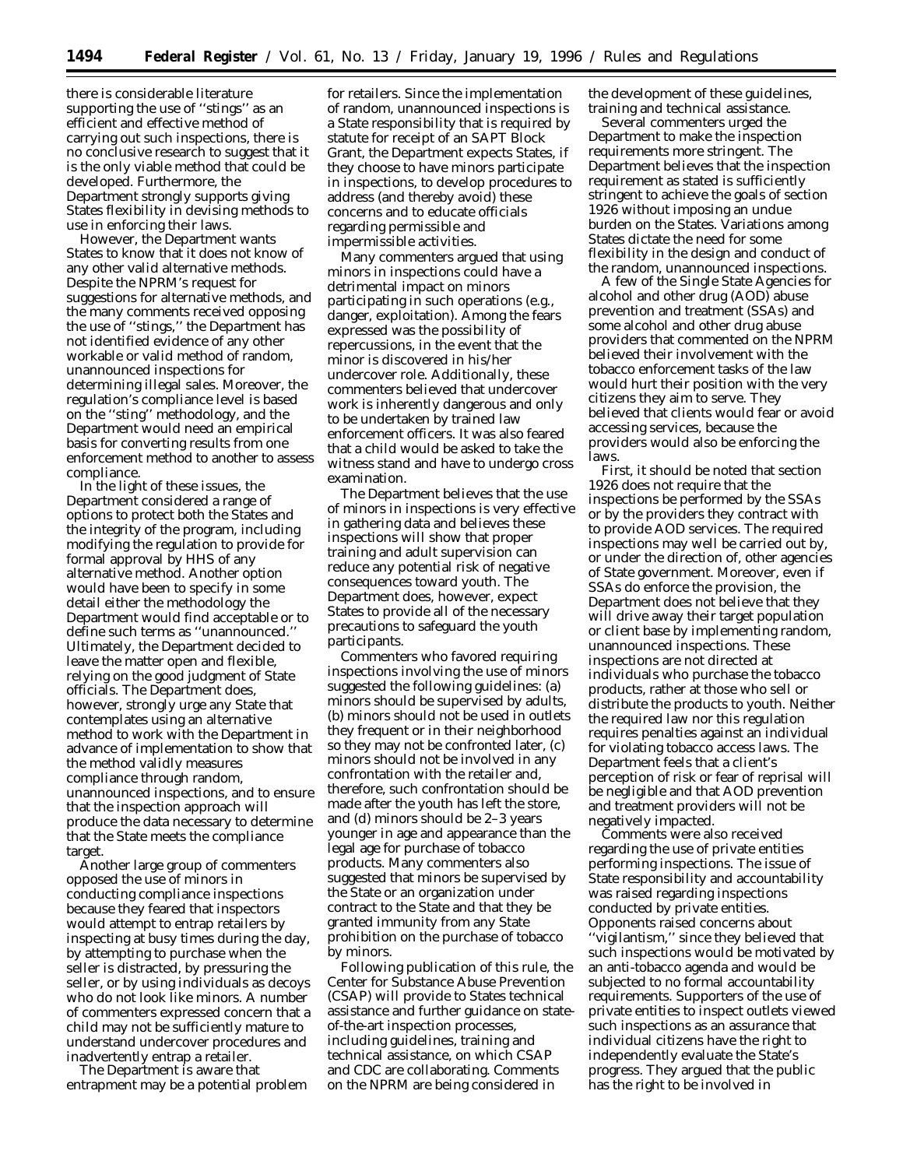there is considerable literature supporting the use of ''stings'' as an efficient and effective method of carrying out such inspections, there is no conclusive research to suggest that it is the only viable method that could be developed. Furthermore, the Department strongly supports giving States flexibility in devising methods to use in enforcing their laws.

However, the Department wants States to know that it does not know of any other valid alternative methods. Despite the NPRM's request for suggestions for alternative methods, and the many comments received opposing the use of ''stings,'' the Department has not identified evidence of any other workable or valid method of random, unannounced inspections for determining illegal sales. Moreover, the regulation's compliance level is based on the ''sting'' methodology, and the Department would need an empirical basis for converting results from one enforcement method to another to assess compliance.

In the light of these issues, the Department considered a range of options to protect both the States and the integrity of the program, including modifying the regulation to provide for formal approval by HHS of any alternative method. Another option would have been to specify in some detail either the methodology the Department would find acceptable or to define such terms as ''unannounced.'' Ultimately, the Department decided to leave the matter open and flexible, relying on the good judgment of State officials. The Department does, however, strongly urge any State that contemplates using an alternative method to work with the Department in advance of implementation to show that the method validly measures compliance through random, unannounced inspections, and to ensure that the inspection approach will produce the data necessary to determine that the State meets the compliance target.

Another large group of commenters opposed the use of minors in conducting compliance inspections because they feared that inspectors would attempt to entrap retailers by inspecting at busy times during the day, by attempting to purchase when the seller is distracted, by pressuring the seller, or by using individuals as decoys who do not look like minors. A number of commenters expressed concern that a child may not be sufficiently mature to understand undercover procedures and inadvertently entrap a retailer.

The Department is aware that entrapment may be a potential problem

for retailers. Since the implementation of random, unannounced inspections is a State responsibility that is required by statute for receipt of an SAPT Block Grant, the Department expects States, if they choose to have minors participate in inspections, to develop procedures to address (and thereby avoid) these concerns and to educate officials regarding permissible and impermissible activities.

Many commenters argued that using minors in inspections could have a detrimental impact on minors participating in such operations (e.g., danger, exploitation). Among the fears expressed was the possibility of repercussions, in the event that the minor is discovered in his/her undercover role. Additionally, these commenters believed that undercover work is inherently dangerous and only to be undertaken by trained law enforcement officers. It was also feared that a child would be asked to take the witness stand and have to undergo cross examination.

The Department believes that the use of minors in inspections is very effective in gathering data and believes these inspections will show that proper training and adult supervision can reduce any potential risk of negative consequences toward youth. The Department does, however, expect States to provide all of the necessary precautions to safeguard the youth participants.

Commenters who favored requiring inspections involving the use of minors suggested the following guidelines: (a) minors should be supervised by adults, (b) minors should not be used in outlets they frequent or in their neighborhood so they may not be confronted later, (c) minors should not be involved in any confrontation with the retailer and, therefore, such confrontation should be made after the youth has left the store, and (d) minors should be 2–3 years younger in age and appearance than the legal age for purchase of tobacco products. Many commenters also suggested that minors be supervised by the State or an organization under contract to the State and that they be granted immunity from any State prohibition on the purchase of tobacco by minors.

Following publication of this rule, the Center for Substance Abuse Prevention (CSAP) will provide to States technical assistance and further guidance on stateof-the-art inspection processes, including guidelines, training and technical assistance, on which CSAP and CDC are collaborating. Comments on the NPRM are being considered in

the development of these guidelines, training and technical assistance.

Several commenters urged the Department to make the inspection requirements more stringent. The Department believes that the inspection requirement as stated is sufficiently stringent to achieve the goals of section 1926 without imposing an undue burden on the States. Variations among States dictate the need for some flexibility in the design and conduct of the random, unannounced inspections.

A few of the Single State Agencies for alcohol and other drug (AOD) abuse prevention and treatment (SSAs) and some alcohol and other drug abuse providers that commented on the NPRM believed their involvement with the tobacco enforcement tasks of the law would hurt their position with the very citizens they aim to serve. They believed that clients would fear or avoid accessing services, because the providers would also be enforcing the laws.

First, it should be noted that section 1926 does not require that the inspections be performed by the SSAs or by the providers they contract with to provide AOD services. The required inspections may well be carried out by, or under the direction of, other agencies of State government. Moreover, even if SSAs do enforce the provision, the Department does not believe that they will drive away their target population or client base by implementing random, unannounced inspections. These inspections are not directed at individuals who purchase the tobacco products, rather at those who sell or distribute the products to youth. Neither the required law nor this regulation requires penalties against an individual for violating tobacco access laws. The Department feels that a client's perception of risk or fear of reprisal will be negligible and that AOD prevention and treatment providers will not be negatively impacted.

Comments were also received regarding the use of private entities performing inspections. The issue of State responsibility and accountability was raised regarding inspections conducted by private entities. Opponents raised concerns about ''vigilantism,'' since they believed that such inspections would be motivated by an anti-tobacco agenda and would be subjected to no formal accountability requirements. Supporters of the use of private entities to inspect outlets viewed such inspections as an assurance that individual citizens have the right to independently evaluate the State's progress. They argued that the public has the right to be involved in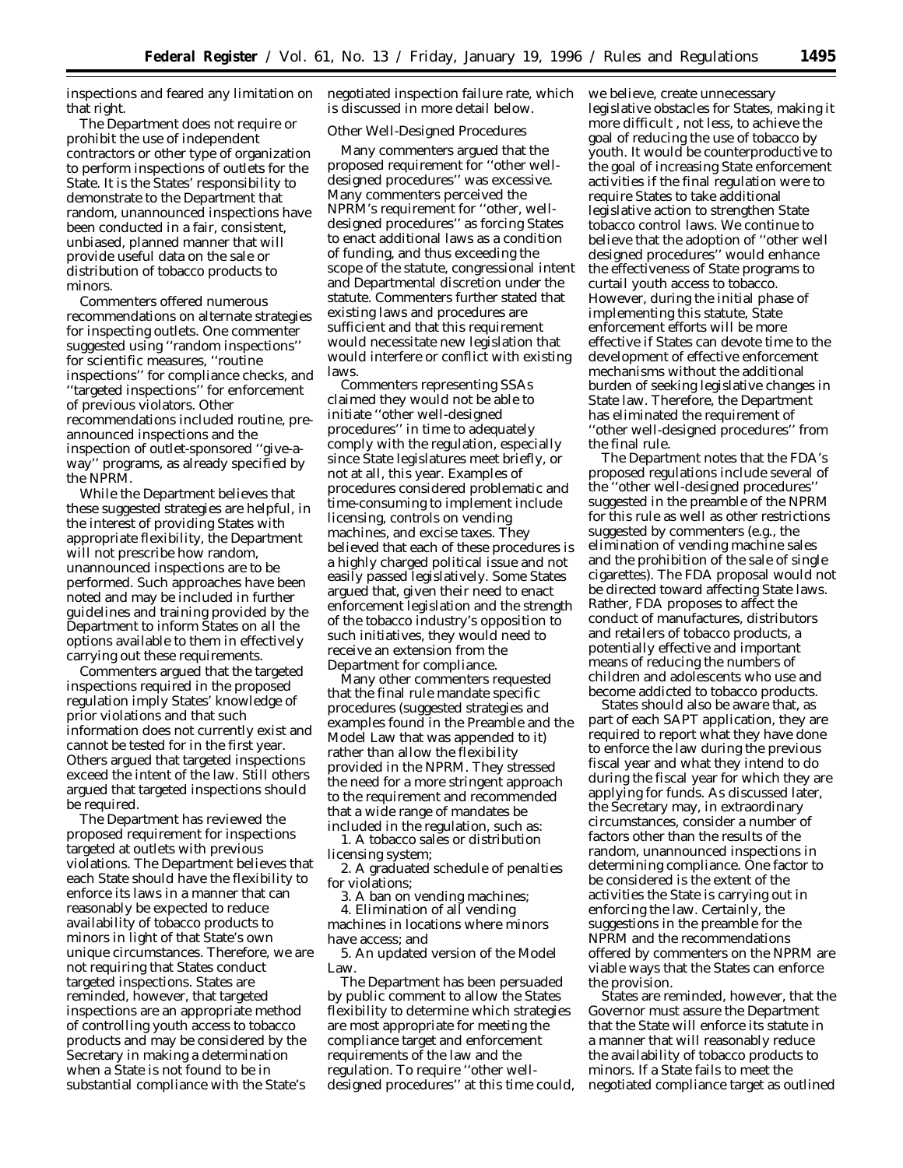inspections and feared any limitation on negotiated inspection failure rate, which that right.

The Department does not require or prohibit the use of independent contractors or other type of organization to perform inspections of outlets for the State. It is the States' responsibility to demonstrate to the Department that random, unannounced inspections have been conducted in a fair, consistent, unbiased, planned manner that will provide useful data on the sale or distribution of tobacco products to minors.

Commenters offered numerous recommendations on alternate strategies for inspecting outlets. One commenter suggested using ''random inspections'' for scientific measures, ''routine inspections'' for compliance checks, and ''targeted inspections'' for enforcement of previous violators. Other recommendations included routine, preannounced inspections and the inspection of outlet-sponsored ''give-away'' programs, as already specified by the NPRM.

While the Department believes that these suggested strategies are helpful, in the interest of providing States with appropriate flexibility, the Department will not prescribe how random, unannounced inspections are to be performed. Such approaches have been noted and may be included in further guidelines and training provided by the Department to inform States on all the options available to them in effectively carrying out these requirements.

Commenters argued that the targeted inspections required in the proposed regulation imply States' knowledge of prior violations and that such information does not currently exist and cannot be tested for in the first year. Others argued that targeted inspections exceed the intent of the law. Still others argued that targeted inspections should be required.

The Department has reviewed the proposed requirement for inspections targeted at outlets with previous violations. The Department believes that each State should have the flexibility to enforce its laws in a manner that can reasonably be expected to reduce availability of tobacco products to minors in light of that State's own unique circumstances. Therefore, we are not requiring that States conduct targeted inspections. States are reminded, however, that targeted inspections are an appropriate method of controlling youth access to tobacco products and may be considered by the Secretary in making a determination when a State is not found to be in substantial compliance with the State's

is discussed in more detail below.

# Other Well-Designed Procedures

Many commenters argued that the proposed requirement for ''other welldesigned procedures'' was excessive. Many commenters perceived the NPRM's requirement for ''other, welldesigned procedures'' as forcing States to enact additional laws as a condition of funding, and thus exceeding the scope of the statute, congressional intent and Departmental discretion under the statute. Commenters further stated that existing laws and procedures are sufficient and that this requirement would necessitate new legislation that would interfere or conflict with existing laws.

Commenters representing SSAs claimed they would not be able to initiate ''other well-designed procedures'' in time to adequately comply with the regulation, especially since State legislatures meet briefly, or not at all, this year. Examples of procedures considered problematic and time-consuming to implement include licensing, controls on vending machines, and excise taxes. They believed that each of these procedures is a highly charged political issue and not easily passed legislatively. Some States argued that, given their need to enact enforcement legislation and the strength of the tobacco industry's opposition to such initiatives, they would need to receive an extension from the Department for compliance.

Many other commenters requested that the final rule mandate specific procedures (suggested strategies and examples found in the Preamble and the Model Law that was appended to it) rather than allow the flexibility provided in the NPRM. They stressed the need for a more stringent approach to the requirement and recommended that a wide range of mandates be included in the regulation, such as:

1. A tobacco sales or distribution licensing system;

2. A graduated schedule of penalties for violations;

3. A ban on vending machines;

4. Elimination of all vending machines in locations where minors have access; and

5. An updated version of the Model Law.

The Department has been persuaded by public comment to allow the States flexibility to determine which strategies are most appropriate for meeting the compliance target and enforcement requirements of the law and the regulation. To require ''other welldesigned procedures'' at this time could, we believe, create unnecessary legislative obstacles for States, making it more difficult , not less, to achieve the goal of reducing the use of tobacco by youth. It would be counterproductive to the goal of increasing State enforcement activities if the final regulation were to require States to take additional legislative action to strengthen State tobacco control laws. We continue to believe that the adoption of ''other well designed procedures'' would enhance the effectiveness of State programs to curtail youth access to tobacco. However, during the initial phase of implementing this statute, State enforcement efforts will be more effective if States can devote time to the development of effective enforcement mechanisms without the additional burden of seeking legislative changes in State law. Therefore, the Department has eliminated the requirement of ''other well-designed procedures'' from the final rule.

The Department notes that the FDA's proposed regulations include several of the ''other well-designed procedures'' suggested in the preamble of the NPRM for this rule as well as other restrictions suggested by commenters (e.g., the elimination of vending machine sales and the prohibition of the sale of single cigarettes). The FDA proposal would not be directed toward affecting State laws. Rather, FDA proposes to affect the conduct of manufactures, distributors and retailers of tobacco products, a potentially effective and important means of reducing the numbers of children and adolescents who use and become addicted to tobacco products.

States should also be aware that, as part of each SAPT application, they are required to report what they have done to enforce the law during the previous fiscal year and what they intend to do during the fiscal year for which they are applying for funds. As discussed later, the Secretary may, in extraordinary circumstances, consider a number of factors other than the results of the random, unannounced inspections in determining compliance. One factor to be considered is the extent of the activities the State is carrying out in enforcing the law. Certainly, the suggestions in the preamble for the NPRM and the recommendations offered by commenters on the NPRM are viable ways that the States can enforce the provision.

States are reminded, however, that the Governor must assure the Department that the State will enforce its statute in a manner that will reasonably reduce the availability of tobacco products to minors. If a State fails to meet the negotiated compliance target as outlined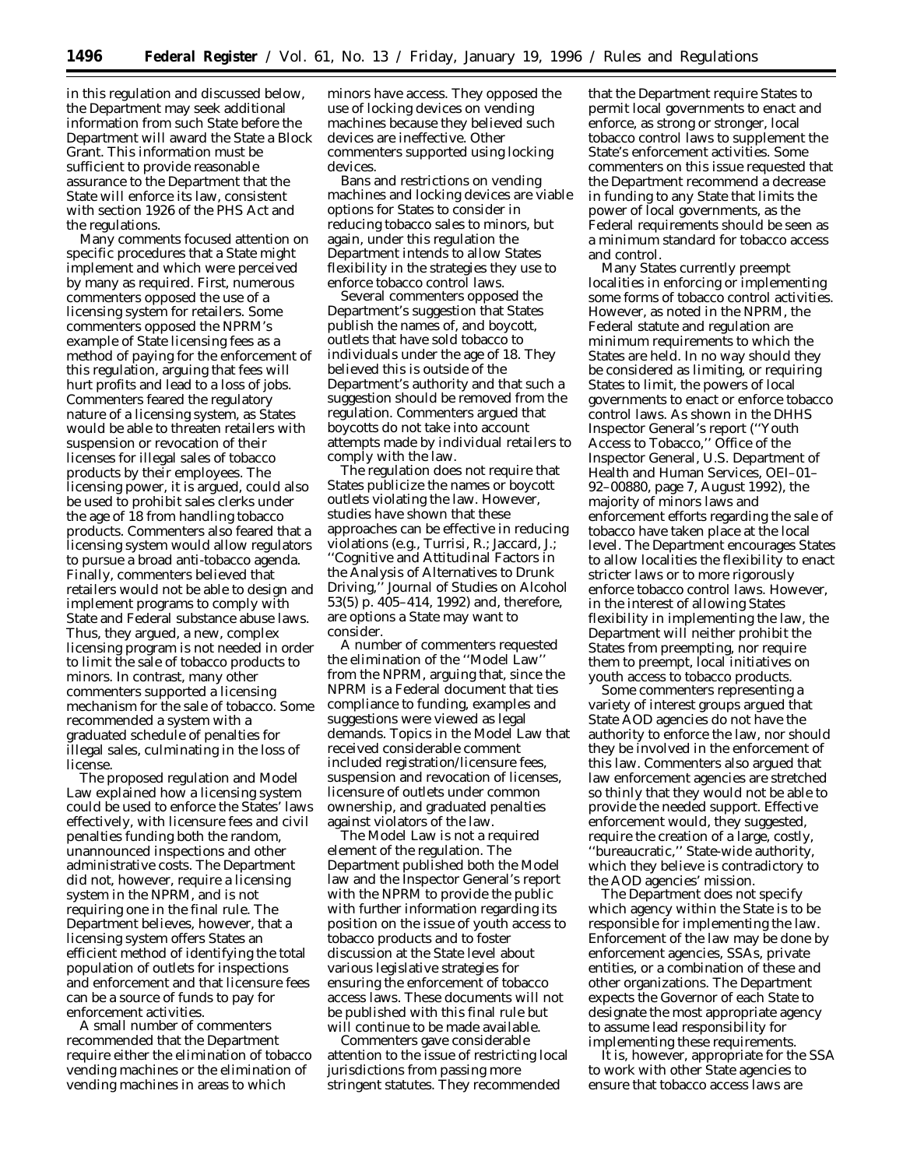in this regulation and discussed below, the Department may seek additional information from such State before the Department will award the State a Block Grant. This information must be sufficient to provide reasonable assurance to the Department that the State will enforce its law, consistent with section 1926 of the PHS Act and the regulations.

Many comments focused attention on specific procedures that a State might implement and which were perceived by many as required. First, numerous commenters opposed the use of a licensing system for retailers. Some commenters opposed the NPRM's example of State licensing fees as a method of paying for the enforcement of this regulation, arguing that fees will hurt profits and lead to a loss of jobs. Commenters feared the regulatory nature of a licensing system, as States would be able to threaten retailers with suspension or revocation of their licenses for illegal sales of tobacco products by their employees. The licensing power, it is argued, could also be used to prohibit sales clerks under the age of 18 from handling tobacco products. Commenters also feared that a licensing system would allow regulators to pursue a broad anti-tobacco agenda. Finally, commenters believed that retailers would not be able to design and implement programs to comply with State and Federal substance abuse laws. Thus, they argued, a new, complex licensing program is not needed in order to limit the sale of tobacco products to minors. In contrast, many other commenters supported a licensing mechanism for the sale of tobacco. Some recommended a system with a graduated schedule of penalties for illegal sales, culminating in the loss of license.

The proposed regulation and Model Law explained how a licensing system could be used to enforce the States' laws effectively, with licensure fees and civil penalties funding both the random, unannounced inspections and other administrative costs. The Department did not, however, require a licensing system in the NPRM, and is not requiring one in the final rule. The Department believes, however, that a licensing system offers States an efficient method of identifying the total population of outlets for inspections and enforcement and that licensure fees can be a source of funds to pay for enforcement activities.

A small number of commenters recommended that the Department require either the elimination of tobacco vending machines or the elimination of vending machines in areas to which

minors have access. They opposed the use of locking devices on vending machines because they believed such devices are ineffective. Other commenters supported using locking devices.

Bans and restrictions on vending machines and locking devices are viable options for States to consider in reducing tobacco sales to minors, but again, under this regulation the Department intends to allow States flexibility in the strategies they use to enforce tobacco control laws.

Several commenters opposed the Department's suggestion that States publish the names of, and boycott, outlets that have sold tobacco to individuals under the age of 18. They believed this is outside of the Department's authority and that such a suggestion should be removed from the regulation. Commenters argued that boycotts do not take into account attempts made by individual retailers to comply with the law.

The regulation does not require that States publicize the names or boycott outlets violating the law. However, studies have shown that these approaches can be effective in reducing violations (e.g., Turrisi, R.; Jaccard, J.; ''Cognitive and Attitudinal Factors in the Analysis of Alternatives to Drunk Driving,'' *Journal of Studies on Alcohol* 53(5) p. 405–414, 1992) and, therefore, are options a State may want to consider.

A number of commenters requested the elimination of the ''Model Law'' from the NPRM, arguing that, since the NPRM is a Federal document that ties compliance to funding, examples and suggestions were viewed as legal demands. Topics in the Model Law that received considerable comment included registration/licensure fees, suspension and revocation of licenses, licensure of outlets under common ownership, and graduated penalties against violators of the law.

The Model Law is not a required element of the regulation. The Department published both the Model law and the Inspector General's report with the NPRM to provide the public with further information regarding its position on the issue of youth access to tobacco products and to foster discussion at the State level about various legislative strategies for ensuring the enforcement of tobacco access laws. These documents will not be published with this final rule but will continue to be made available.

Commenters gave considerable attention to the issue of restricting local jurisdictions from passing more stringent statutes. They recommended

that the Department require States to permit local governments to enact and enforce, as strong or stronger, local tobacco control laws to supplement the State's enforcement activities. Some commenters on this issue requested that the Department recommend a decrease in funding to any State that limits the power of local governments, as the Federal requirements should be seen as a minimum standard for tobacco access and control.

Many States currently preempt localities in enforcing or implementing some forms of tobacco control activities. However, as noted in the NPRM, the Federal statute and regulation are minimum requirements to which the States are held. In no way should they be considered as limiting, or requiring States to limit, the powers of local governments to enact or enforce tobacco control laws. As shown in the DHHS Inspector General's report (''Youth Access to Tobacco,'' Office of the Inspector General, U.S. Department of Health and Human Services, OEI–01– 92–00880, page 7, August 1992), the majority of minors laws and enforcement efforts regarding the sale of tobacco have taken place at the local level. The Department encourages States to allow localities the flexibility to enact stricter laws or to more rigorously enforce tobacco control laws. However, in the interest of allowing States flexibility in implementing the law, the Department will neither prohibit the States from preempting, nor require them to preempt, local initiatives on youth access to tobacco products.

Some commenters representing a variety of interest groups argued that State AOD agencies do not have the authority to enforce the law, nor should they be involved in the enforcement of this law. Commenters also argued that law enforcement agencies are stretched so thinly that they would not be able to provide the needed support. Effective enforcement would, they suggested, require the creation of a large, costly, ''bureaucratic,'' State-wide authority, which they believe is contradictory to the AOD agencies' mission.

The Department does not specify which agency within the State is to be responsible for implementing the law. Enforcement of the law may be done by enforcement agencies, SSAs, private entities, or a combination of these and other organizations. The Department expects the Governor of each State to designate the most appropriate agency to assume lead responsibility for implementing these requirements.

It is, however, appropriate for the SSA to work with other State agencies to ensure that tobacco access laws are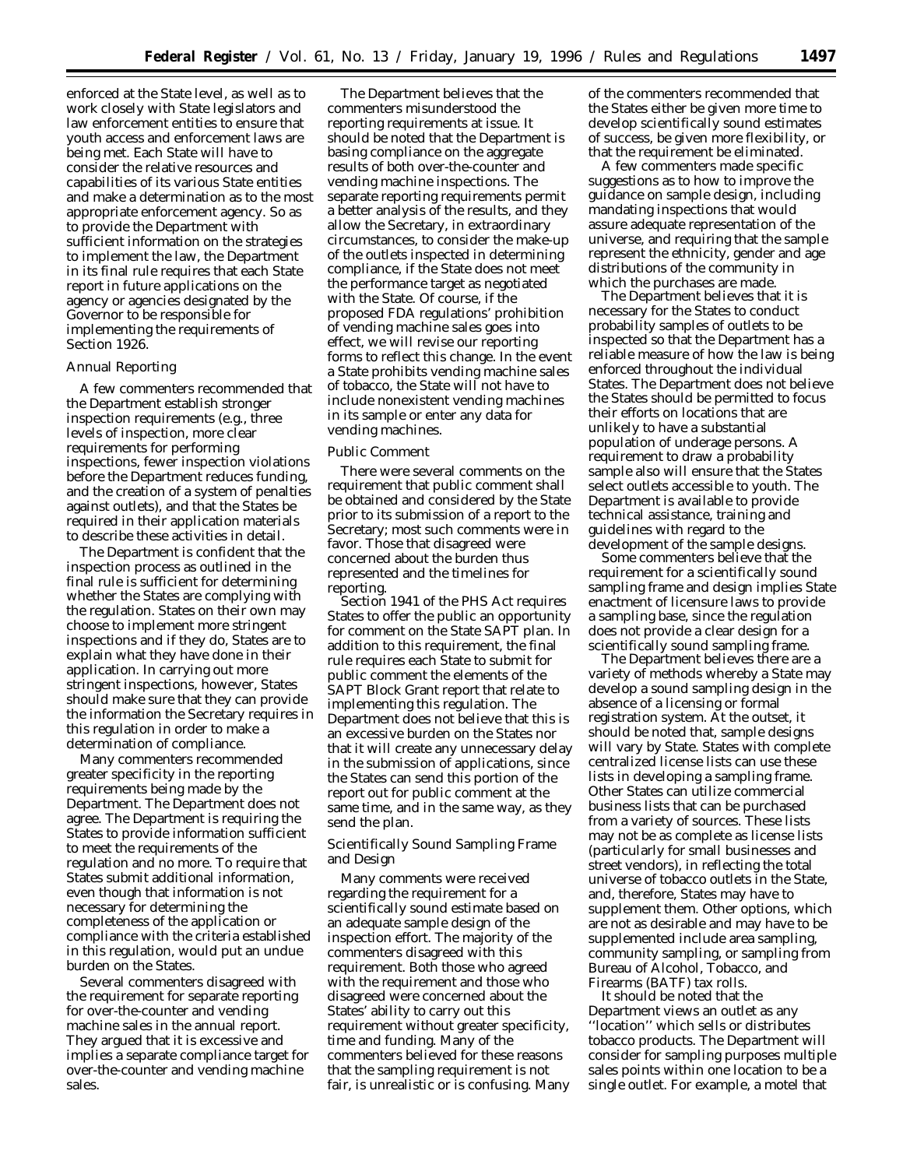enforced at the State level, as well as to work closely with State legislators and law enforcement entities to ensure that youth access and enforcement laws are being met. Each State will have to consider the relative resources and capabilities of its various State entities and make a determination as to the most appropriate enforcement agency. So as to provide the Department with sufficient information on the strategies to implement the law, the Department in its final rule requires that each State report in future applications on the agency or agencies designated by the Governor to be responsible for implementing the requirements of Section 1926.

#### Annual Reporting

A few commenters recommended that the Department establish stronger inspection requirements (e.g., three levels of inspection, more clear requirements for performing inspections, fewer inspection violations before the Department reduces funding, and the creation of a system of penalties against outlets), and that the States be required in their application materials to describe these activities in detail.

The Department is confident that the inspection process as outlined in the final rule is sufficient for determining whether the States are complying with the regulation. States on their own may choose to implement more stringent inspections and if they do, States are to explain what they have done in their application. In carrying out more stringent inspections, however, States should make sure that they can provide the information the Secretary requires in this regulation in order to make a determination of compliance.

Many commenters recommended greater specificity in the reporting requirements being made by the Department. The Department does not agree. The Department is requiring the States to provide information sufficient to meet the requirements of the regulation and no more. To require that States submit additional information, even though that information is not necessary for determining the completeness of the application or compliance with the criteria established in this regulation, would put an undue burden on the States.

Several commenters disagreed with the requirement for separate reporting for over-the-counter and vending machine sales in the annual report. They argued that it is excessive and implies a separate compliance target for over-the-counter and vending machine sales.

The Department believes that the commenters misunderstood the reporting requirements at issue. It should be noted that the Department is basing compliance on the aggregate results of both over-the-counter and vending machine inspections. The separate reporting requirements permit a better analysis of the results, and they allow the Secretary, in extraordinary circumstances, to consider the make-up of the outlets inspected in determining compliance, if the State does not meet the performance target as negotiated with the State. Of course, if the proposed FDA regulations' prohibition of vending machine sales goes into effect, we will revise our reporting forms to reflect this change. In the event a State prohibits vending machine sales of tobacco, the State will not have to include nonexistent vending machines in its sample or enter any data for vending machines.

# Public Comment

There were several comments on the requirement that public comment shall be obtained and considered by the State prior to its submission of a report to the Secretary; most such comments were in favor. Those that disagreed were concerned about the burden thus represented and the timelines for reporting.

Section 1941 of the PHS Act requires States to offer the public an opportunity for comment on the State SAPT plan. In addition to this requirement, the final rule requires each State to submit for public comment the elements of the SAPT Block Grant report that relate to implementing this regulation. The Department does not believe that this is an excessive burden on the States nor that it will create any unnecessary delay in the submission of applications, since the States can send this portion of the report out for public comment at the same time, and in the same way, as they send the plan.

Scientifically Sound Sampling Frame and Design

Many comments were received regarding the requirement for a scientifically sound estimate based on an adequate sample design of the inspection effort. The majority of the commenters disagreed with this requirement. Both those who agreed with the requirement and those who disagreed were concerned about the States' ability to carry out this requirement without greater specificity, time and funding. Many of the commenters believed for these reasons that the sampling requirement is not fair, is unrealistic or is confusing. Many of the commenters recommended that the States either be given more time to develop scientifically sound estimates of success, be given more flexibility, or that the requirement be eliminated.

A few commenters made specific suggestions as to how to improve the guidance on sample design, including mandating inspections that would assure adequate representation of the universe, and requiring that the sample represent the ethnicity, gender and age distributions of the community in which the purchases are made.

The Department believes that it is necessary for the States to conduct probability samples of outlets to be inspected so that the Department has a reliable measure of how the law is being enforced throughout the individual States. The Department does not believe the States should be permitted to focus their efforts on locations that are unlikely to have a substantial population of underage persons. A requirement to draw a probability sample also will ensure that the States select outlets accessible to youth. The Department is available to provide technical assistance, training and guidelines with regard to the development of the sample designs.

Some commenters believe that the requirement for a scientifically sound sampling frame and design implies State enactment of licensure laws to provide a sampling base, since the regulation does not provide a clear design for a scientifically sound sampling frame.

The Department believes there are a variety of methods whereby a State may develop a sound sampling design in the absence of a licensing or formal registration system. At the outset, it should be noted that, sample designs will vary by State. States with complete centralized license lists can use these lists in developing a sampling frame. Other States can utilize commercial business lists that can be purchased from a variety of sources. These lists may not be as complete as license lists (particularly for small businesses and street vendors), in reflecting the total universe of tobacco outlets in the State, and, therefore, States may have to supplement them. Other options, which are not as desirable and may have to be supplemented include area sampling, community sampling, or sampling from Bureau of Alcohol, Tobacco, and Firearms (BATF) tax rolls.

It should be noted that the Department views an outlet as any ''location'' which sells or distributes tobacco products. The Department will consider for sampling purposes multiple sales points within one location to be a single outlet. For example, a motel that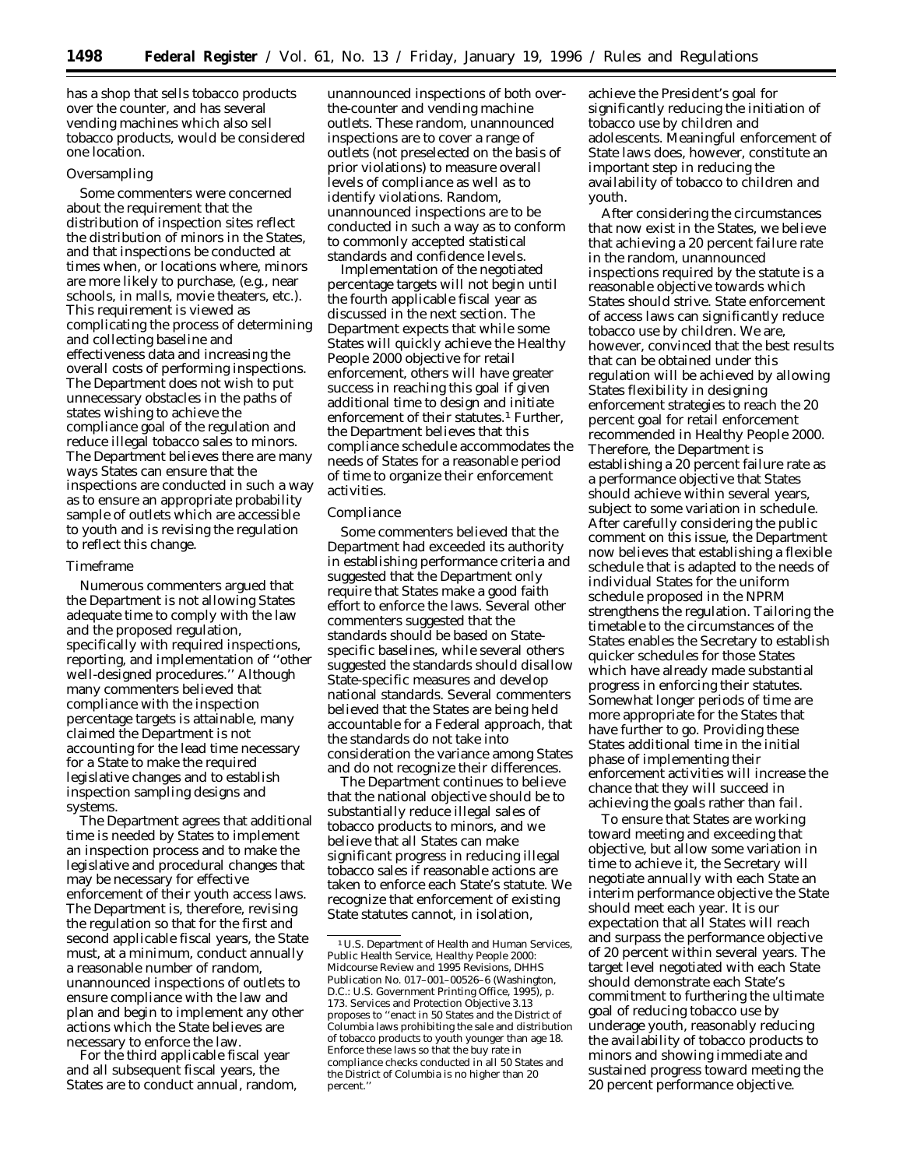has a shop that sells tobacco products over the counter, and has several vending machines which also sell tobacco products, would be considered one location.

### **Oversampling**

Some commenters were concerned about the requirement that the distribution of inspection sites reflect the distribution of minors in the States, and that inspections be conducted at times when, or locations where, minors are more likely to purchase, (e.g., near schools, in malls, movie theaters, etc.). This requirement is viewed as complicating the process of determining and collecting baseline and effectiveness data and increasing the overall costs of performing inspections. The Department does not wish to put unnecessary obstacles in the paths of states wishing to achieve the compliance goal of the regulation and reduce illegal tobacco sales to minors. The Department believes there are many ways States can ensure that the inspections are conducted in such a way as to ensure an appropriate probability sample of outlets which are accessible to youth and is revising the regulation to reflect this change.

# Timeframe

Numerous commenters argued that the Department is not allowing States adequate time to comply with the law and the proposed regulation, specifically with required inspections, reporting, and implementation of ''other well-designed procedures.'' Although many commenters believed that compliance with the inspection percentage targets is attainable, many claimed the Department is not accounting for the lead time necessary for a State to make the required legislative changes and to establish inspection sampling designs and systems.

The Department agrees that additional time is needed by States to implement an inspection process and to make the legislative and procedural changes that may be necessary for effective enforcement of their youth access laws. The Department is, therefore, revising the regulation so that for the first and second applicable fiscal years, the State must, at a minimum, conduct annually a reasonable number of random, unannounced inspections of outlets to ensure compliance with the law and plan and begin to implement any other actions which the State believes are necessary to enforce the law.

For the third applicable fiscal year and all subsequent fiscal years, the States are to conduct annual, random, unannounced inspections of both overthe-counter and vending machine outlets. These random, unannounced inspections are to cover a range of outlets (not preselected on the basis of prior violations) to measure overall levels of compliance as well as to identify violations. Random, unannounced inspections are to be conducted in such a way as to conform to commonly accepted statistical standards and confidence levels.

Implementation of the negotiated percentage targets will not begin until the fourth applicable fiscal year as discussed in the next section. The Department expects that while some States will quickly achieve the *Healthy People 2000* objective for retail enforcement, others will have greater success in reaching this goal if given additional time to design and initiate enforcement of their statutes.<sup>1</sup> Further, the Department believes that this compliance schedule accommodates the needs of States for a reasonable period of time to organize their enforcement activities.

#### Compliance

Some commenters believed that the Department had exceeded its authority in establishing performance criteria and suggested that the Department only require that States make a good faith effort to enforce the laws. Several other commenters suggested that the standards should be based on Statespecific baselines, while several others suggested the standards should disallow State-specific measures and develop national standards. Several commenters believed that the States are being held accountable for a Federal approach, that the standards do not take into consideration the variance among States and do not recognize their differences.

The Department continues to believe that the national objective should be to substantially reduce illegal sales of tobacco products to minors, and we believe that all States can make significant progress in reducing illegal tobacco sales if reasonable actions are taken to enforce each State's statute. We recognize that enforcement of existing State statutes cannot, in isolation,

achieve the President's goal for significantly reducing the initiation of tobacco use by children and adolescents. Meaningful enforcement of State laws does, however, constitute an important step in reducing the availability of tobacco to children and youth.

After considering the circumstances that now exist in the States, we believe that achieving a 20 percent failure rate in the random, unannounced inspections required by the statute is a reasonable objective towards which States should strive. State enforcement of access laws can significantly reduce tobacco use by children. We are, however, convinced that the best results that can be obtained under this regulation will be achieved by allowing States flexibility in designing enforcement strategies to reach the 20 percent goal for retail enforcement recommended in Healthy People 2000. Therefore, the Department is establishing a 20 percent failure rate as a performance objective that States should achieve within several years, subject to some variation in schedule. After carefully considering the public comment on this issue, the Department now believes that establishing a flexible schedule that is adapted to the needs of individual States for the uniform schedule proposed in the NPRM strengthens the regulation. Tailoring the timetable to the circumstances of the States enables the Secretary to establish quicker schedules for those States which have already made substantial progress in enforcing their statutes. Somewhat longer periods of time are more appropriate for the States that have further to go. Providing these States additional time in the initial phase of implementing their enforcement activities will increase the chance that they will succeed in achieving the goals rather than fail.

To ensure that States are working toward meeting and exceeding that objective, but allow some variation in time to achieve it, the Secretary will negotiate annually with each State an interim performance objective the State should meet each year. It is our expectation that all States will reach and surpass the performance objective of 20 percent within several years. The target level negotiated with each State should demonstrate each State's commitment to furthering the ultimate goal of reducing tobacco use by underage youth, reasonably reducing the availability of tobacco products to minors and showing immediate and sustained progress toward meeting the 20 percent performance objective.

<sup>1</sup>U.S. Department of Health and Human Services, Public Health Service, *Healthy People 2000: Midcourse Review and 1995 Revisions,* DHHS Publication No. 017–001–00526–6 (Washington, D.C.: U.S. Government Printing Office, 1995), p. 173. Services and Protection Objective 3.13 proposes to ''enact in 50 States and the District of Columbia laws prohibiting the sale and distribution of tobacco products to youth younger than age 18. Enforce these laws so that the buy rate in compliance checks conducted in all 50 States and the District of Columbia is no higher than 20 percent.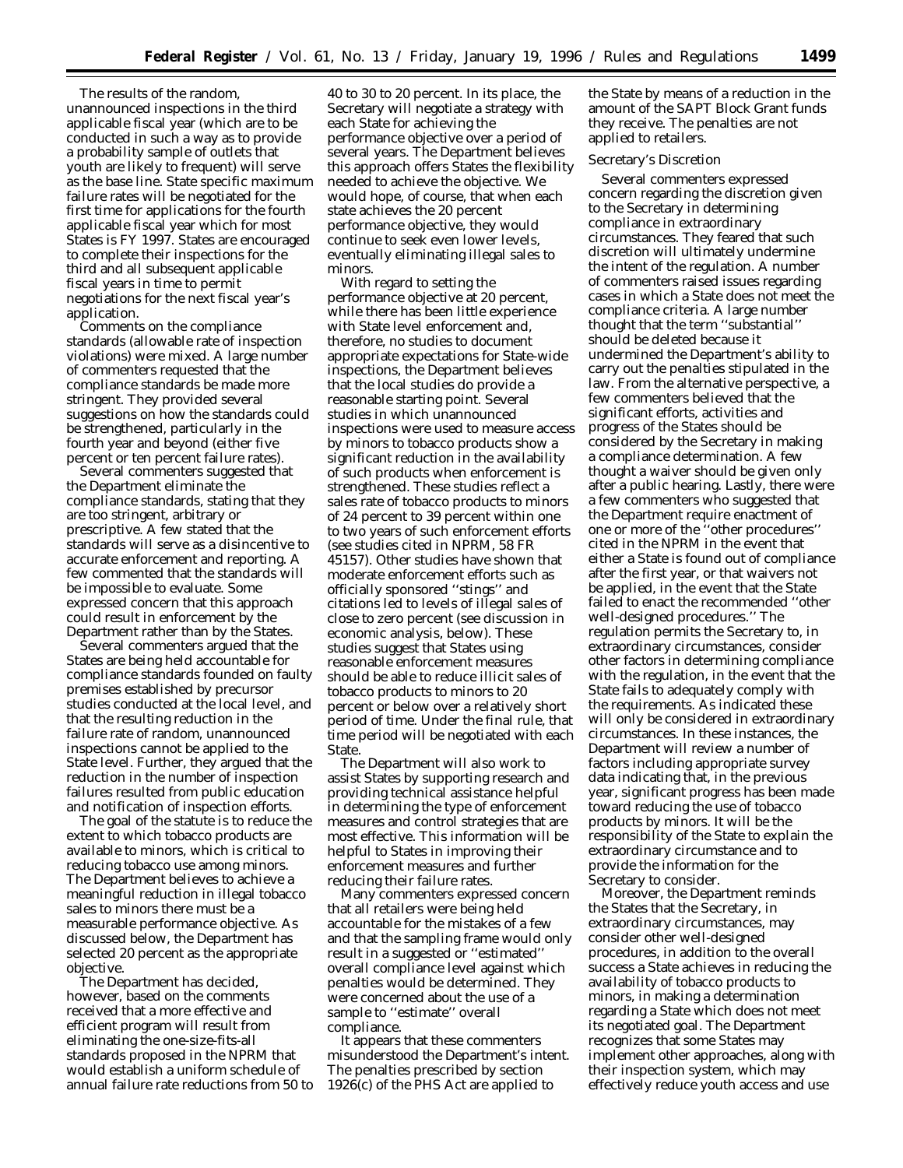The results of the random, unannounced inspections in the third applicable fiscal year (which are to be conducted in such a way as to provide a probability sample of outlets that youth are likely to frequent) will serve as the base line. State specific maximum failure rates will be negotiated for the first time for applications for the fourth applicable fiscal year which for most States is FY 1997. States are encouraged to complete their inspections for the third and all subsequent applicable fiscal years in time to permit negotiations for the next fiscal year's application.

Comments on the compliance standards (allowable rate of inspection violations) were mixed. A large number of commenters requested that the compliance standards be made more stringent. They provided several suggestions on how the standards could be strengthened, particularly in the fourth year and beyond (either five percent or ten percent failure rates).

Several commenters suggested that the Department eliminate the compliance standards, stating that they are too stringent, arbitrary or prescriptive. A few stated that the standards will serve as a disincentive to accurate enforcement and reporting. A few commented that the standards will be impossible to evaluate. Some expressed concern that this approach could result in enforcement by the Department rather than by the States.

Several commenters argued that the States are being held accountable for compliance standards founded on faulty premises established by precursor studies conducted at the local level, and that the resulting reduction in the failure rate of random, unannounced inspections cannot be applied to the State level. Further, they argued that the reduction in the number of inspection failures resulted from public education and notification of inspection efforts.

The goal of the statute is to reduce the extent to which tobacco products are available to minors, which is critical to reducing tobacco use among minors. The Department believes to achieve a meaningful reduction in illegal tobacco sales to minors there must be a measurable performance objective. As discussed below, the Department has selected 20 percent as the appropriate objective.

The Department has decided, however, based on the comments received that a more effective and efficient program will result from eliminating the one-size-fits-all standards proposed in the NPRM that would establish a uniform schedule of annual failure rate reductions from 50 to

40 to 30 to 20 percent. In its place, the Secretary will negotiate a strategy with each State for achieving the performance objective over a period of several years. The Department believes this approach offers States the flexibility needed to achieve the objective. We would hope, of course, that when each state achieves the 20 percent performance objective, they would continue to seek even lower levels, eventually eliminating illegal sales to minors.

With regard to setting the performance objective at 20 percent, while there has been little experience with State level enforcement and, therefore, no studies to document appropriate expectations for State-wide inspections, the Department believes that the local studies do provide a reasonable starting point. Several studies in which unannounced inspections were used to measure access by minors to tobacco products show a significant reduction in the availability of such products when enforcement is strengthened. These studies reflect a sales rate of tobacco products to minors of 24 percent to 39 percent within one to two years of such enforcement efforts (see studies cited in NPRM, 58 FR 45157). Other studies have shown that moderate enforcement efforts such as officially sponsored ''stings'' and citations led to levels of illegal sales of close to zero percent (see discussion in economic analysis, below). These studies suggest that States using reasonable enforcement measures should be able to reduce illicit sales of tobacco products to minors to 20 percent or below over a relatively short period of time. Under the final rule, that time period will be negotiated with each State.

The Department will also work to assist States by supporting research and providing technical assistance helpful in determining the type of enforcement measures and control strategies that are most effective. This information will be helpful to States in improving their enforcement measures and further reducing their failure rates.

Many commenters expressed concern that all retailers were being held accountable for the mistakes of a few and that the sampling frame would only result in a suggested or ''estimated'' overall compliance level against which penalties would be determined. They were concerned about the use of a sample to ''estimate'' overall compliance.

It appears that these commenters misunderstood the Department's intent. The penalties prescribed by section 1926(c) of the PHS Act are applied to

the State by means of a reduction in the amount of the SAPT Block Grant funds they receive. The penalties are not applied to retailers.

# Secretary's Discretion

Several commenters expressed concern regarding the discretion given to the Secretary in determining compliance in extraordinary circumstances. They feared that such discretion will ultimately undermine the intent of the regulation. A number of commenters raised issues regarding cases in which a State does not meet the compliance criteria. A large number thought that the term ''substantial'' should be deleted because it undermined the Department's ability to carry out the penalties stipulated in the law. From the alternative perspective, a few commenters believed that the significant efforts, activities and progress of the States should be considered by the Secretary in making a compliance determination. A few thought a waiver should be given only after a public hearing. Lastly, there were a few commenters who suggested that the Department require enactment of one or more of the ''other procedures'' cited in the NPRM in the event that either a State is found out of compliance after the first year, or that waivers not be applied, in the event that the State failed to enact the recommended ''other well-designed procedures.'' The regulation permits the Secretary to, in extraordinary circumstances, consider other factors in determining compliance with the regulation, in the event that the State fails to adequately comply with the requirements. As indicated these will only be considered in extraordinary circumstances. In these instances, the Department will review a number of factors including appropriate survey data indicating that, in the previous year, significant progress has been made toward reducing the use of tobacco products by minors. It will be the responsibility of the State to explain the extraordinary circumstance and to provide the information for the Secretary to consider.

Moreover, the Department reminds the States that the Secretary, in extraordinary circumstances, may consider other well-designed procedures, in addition to the overall success a State achieves in reducing the availability of tobacco products to minors, in making a determination regarding a State which does not meet its negotiated goal. The Department recognizes that some States may implement other approaches, along with their inspection system, which may effectively reduce youth access and use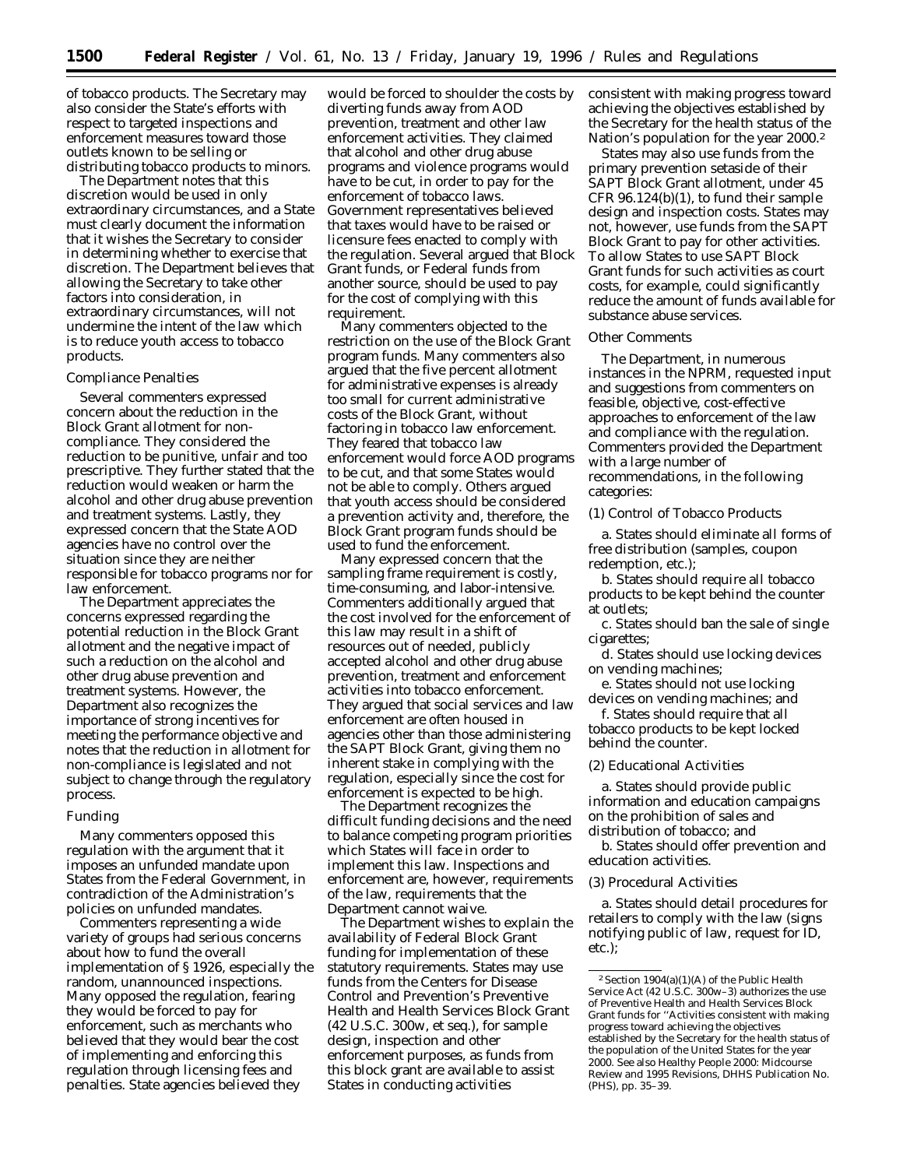of tobacco products. The Secretary may also consider the State's efforts with respect to targeted inspections and enforcement measures toward those outlets known to be selling or distributing tobacco products to minors.

The Department notes that this discretion would be used in only extraordinary circumstances, and a State must clearly document the information that it wishes the Secretary to consider in determining whether to exercise that discretion. The Department believes that allowing the Secretary to take other factors into consideration, in extraordinary circumstances, will not undermine the intent of the law which is to reduce youth access to tobacco products.

# Compliance Penalties

Several commenters expressed concern about the reduction in the Block Grant allotment for noncompliance. They considered the reduction to be punitive, unfair and too prescriptive. They further stated that the reduction would weaken or harm the alcohol and other drug abuse prevention and treatment systems. Lastly, they expressed concern that the State AOD agencies have no control over the situation since they are neither responsible for tobacco programs nor for law enforcement.

The Department appreciates the concerns expressed regarding the potential reduction in the Block Grant allotment and the negative impact of such a reduction on the alcohol and other drug abuse prevention and treatment systems. However, the Department also recognizes the importance of strong incentives for meeting the performance objective and notes that the reduction in allotment for non-compliance is legislated and not subject to change through the regulatory process.

# Funding

Many commenters opposed this regulation with the argument that it imposes an unfunded mandate upon States from the Federal Government, in contradiction of the Administration's policies on unfunded mandates.

Commenters representing a wide variety of groups had serious concerns about how to fund the overall implementation of § 1926, especially the random, unannounced inspections. Many opposed the regulation, fearing they would be forced to pay for enforcement, such as merchants who believed that they would bear the cost of implementing and enforcing this regulation through licensing fees and penalties. State agencies believed they

would be forced to shoulder the costs by diverting funds away from AOD prevention, treatment and other law enforcement activities. They claimed that alcohol and other drug abuse programs and violence programs would have to be cut, in order to pay for the enforcement of tobacco laws. Government representatives believed that taxes would have to be raised or licensure fees enacted to comply with the regulation. Several argued that Block Grant funds, or Federal funds from another source, should be used to pay for the cost of complying with this requirement.

Many commenters objected to the restriction on the use of the Block Grant program funds. Many commenters also argued that the five percent allotment for administrative expenses is already too small for current administrative costs of the Block Grant, without factoring in tobacco law enforcement. They feared that tobacco law enforcement would force AOD programs to be cut, and that some States would not be able to comply. Others argued that youth access should be considered a prevention activity and, therefore, the Block Grant program funds should be used to fund the enforcement.

Many expressed concern that the sampling frame requirement is costly, time-consuming, and labor-intensive. Commenters additionally argued that the cost involved for the enforcement of this law may result in a shift of resources out of needed, publicly accepted alcohol and other drug abuse prevention, treatment and enforcement activities into tobacco enforcement. They argued that social services and law enforcement are often housed in agencies other than those administering the SAPT Block Grant, giving them no inherent stake in complying with the regulation, especially since the cost for enforcement is expected to be high.

The Department recognizes the difficult funding decisions and the need to balance competing program priorities which States will face in order to implement this law. Inspections and enforcement are, however, requirements of the law, requirements that the Department cannot waive.

The Department wishes to explain the availability of Federal Block Grant funding for implementation of these statutory requirements. States may use funds from the Centers for Disease Control and Prevention's Preventive Health and Health Services Block Grant (42 U.S.C. 300w, *et seq.*), for sample design, inspection and other enforcement purposes, as funds from this block grant are available to assist States in conducting activities

consistent with making progress toward achieving the objectives established by the Secretary for the health status of the Nation's population for the year 2000.2

States may also use funds from the primary prevention setaside of their SAPT Block Grant allotment, under 45 CFR 96.124(b)(1), to fund their sample design and inspection costs. States may not, however, use funds from the SAPT Block Grant to pay for other activities. To allow States to use SAPT Block Grant funds for such activities as court costs, for example, could significantly reduce the amount of funds available for substance abuse services.

# Other Comments

The Department, in numerous instances in the NPRM, requested input and suggestions from commenters on feasible, objective, cost-effective approaches to enforcement of the law and compliance with the regulation. Commenters provided the Department with a large number of recommendations, in the following categories:

#### (1) Control of Tobacco Products

a. States should eliminate all forms of free distribution (samples, coupon redemption, etc.);

b. States should require all tobacco products to be kept behind the counter at outlets;

c. States should ban the sale of single cigarettes;

d. States should use locking devices on vending machines;

e. States should not use locking devices on vending machines; and

f. States should require that all tobacco products to be kept *locked* behind the counter.

#### (2) Educational Activities

a. States should provide public information and education campaigns on the prohibition of sales and distribution of tobacco; and

b. States should offer prevention and education activities.

### (3) Procedural Activities

a. States should detail procedures for retailers to comply with the law (signs notifying public of law, request for ID, etc.);

<sup>2</sup>Section 1904(a)(1)(A) of the Public Health Service Act (42 U.S.C. 300w–3) authorizes the use of Preventive Health and Health Services Block Grant funds for ''Activities consistent with making progress toward achieving the objectives established by the Secretary for the health status of the population of the United States for the year 2000. See also *Healthy People 2000: Midcourse Review and 1995 Revisions,* DHHS Publication No. (PHS), pp. 35–39.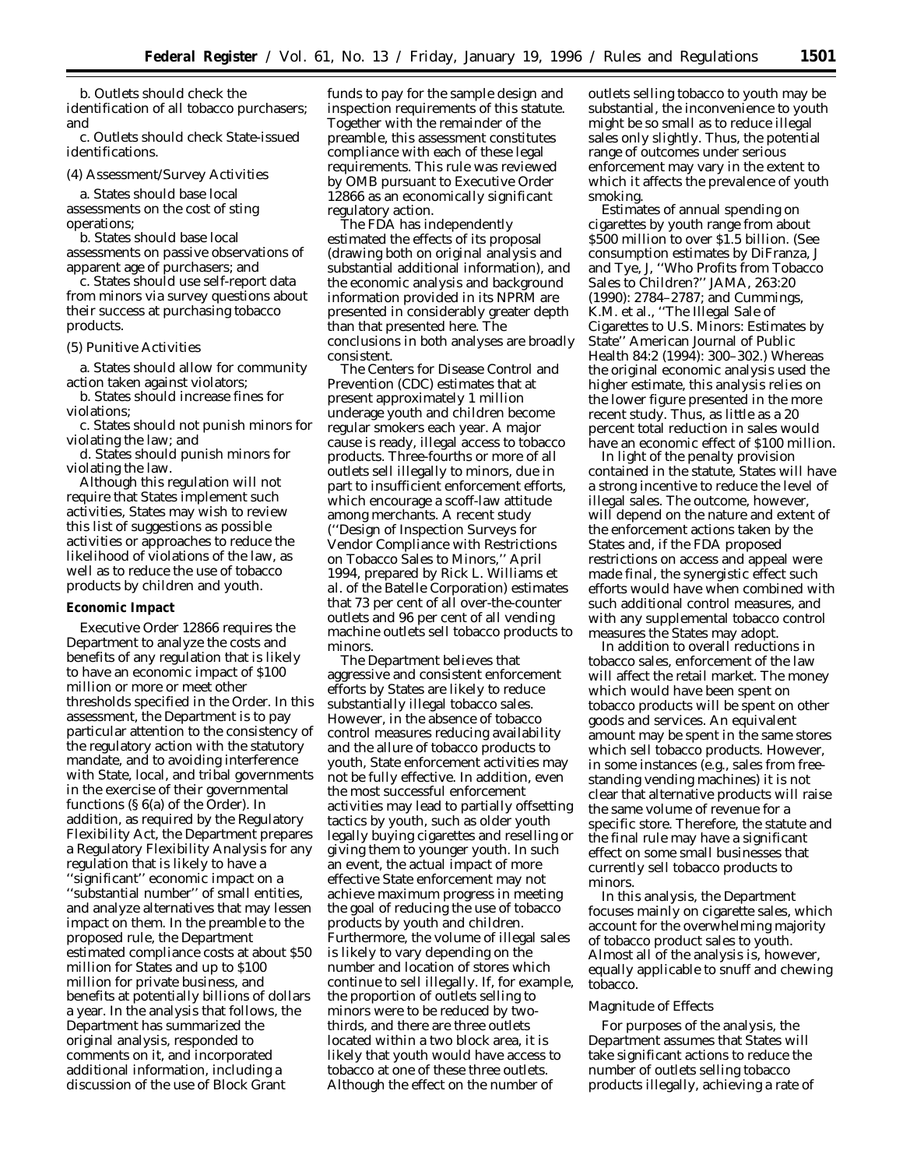b. Outlets should check the identification of all tobacco purchasers; and

c. Outlets should check State-issued identifications.

#### (4) Assessment/Survey Activities

a. States should base local assessments on the cost of sting operations;

b. States should base local assessments on passive observations of apparent age of purchasers; and

c. States should use self-report data from minors via survey questions about their success at purchasing tobacco products.

# (5) Punitive Activities

a. States should allow for community action taken against violators;

b. States should increase fines for violations;

c. States should not punish minors for violating the law; and

d. States should punish minors for violating the law.

Although this regulation will not require that States implement such activities, States may wish to review this list of suggestions as possible activities or approaches to reduce the likelihood of violations of the law, as well as to reduce the use of tobacco products by children and youth.

#### **Economic Impact**

Executive Order 12866 requires the Department to analyze the costs and benefits of any regulation that is likely to have an economic impact of \$100 million or more or meet other thresholds specified in the Order. In this assessment, the Department is to pay particular attention to the consistency of the regulatory action with the statutory mandate, and to avoiding interference with State, local, and tribal governments in the exercise of their governmental functions (§ 6(a) of the Order). In addition, as required by the Regulatory Flexibility Act, the Department prepares a Regulatory Flexibility Analysis for any regulation that is likely to have a ''significant'' economic impact on a ''substantial number'' of small entities, and analyze alternatives that may lessen impact on them. In the preamble to the proposed rule, the Department estimated compliance costs at about \$50 million for States and up to \$100 million for private business, and benefits at potentially billions of dollars a year. In the analysis that follows, the Department has summarized the original analysis, responded to comments on it, and incorporated additional information, including a discussion of the use of Block Grant

funds to pay for the sample design and inspection requirements of this statute. Together with the remainder of the preamble, this assessment constitutes compliance with each of these legal requirements. This rule was reviewed by OMB pursuant to Executive Order 12866 as an economically significant regulatory action.

The FDA has independently estimated the effects of its proposal (drawing both on original analysis and substantial additional information), and the economic analysis and background information provided in its NPRM are presented in considerably greater depth than that presented here. The conclusions in both analyses are broadly consistent.

The Centers for Disease Control and Prevention (CDC) estimates that at present approximately 1 million underage youth and children become regular smokers each year. A major cause is ready, illegal access to tobacco products. Three-fourths or more of all outlets sell illegally to minors, due in part to insufficient enforcement efforts, which encourage a scoff-law attitude among merchants. A recent study (''Design of Inspection Surveys for Vendor Compliance with Restrictions on Tobacco Sales to Minors,'' April 1994, prepared by Rick L. Williams *et al.* of the Batelle Corporation) estimates that 73 per cent of all over-the-counter outlets and 96 per cent of all vending machine outlets sell tobacco products to minors.

The Department believes that aggressive and consistent enforcement efforts by States are likely to reduce substantially illegal tobacco sales. However, in the absence of tobacco control measures reducing availability and the allure of tobacco products to youth, State enforcement activities may not be fully effective. In addition, even the most successful enforcement activities may lead to partially offsetting tactics by youth, such as older youth legally buying cigarettes and reselling or giving them to younger youth. In such an event, the actual impact of more effective State enforcement may not achieve maximum progress in meeting the goal of reducing the use of tobacco products by youth and children. Furthermore, the volume of illegal sales is likely to vary depending on the number and location of stores which continue to sell illegally. If, for example, the proportion of outlets selling to minors were to be reduced by twothirds, and there are three outlets located within a two block area, it is likely that youth would have access to tobacco at one of these three outlets. Although the effect on the number of

outlets selling tobacco to youth may be substantial, the inconvenience to youth might be so small as to reduce illegal sales only slightly. Thus, the potential range of outcomes under serious enforcement may vary in the extent to which it affects the prevalence of youth smoking.

Estimates of annual spending on cigarettes by youth range from about \$500 million to over \$1.5 billion. (See consumption estimates by DiFranza, J and Tye, J, ''Who Profits from Tobacco Sales to Children?'' JAMA, 263:20 (1990): 2784–2787; and Cummings, K.M. et al., ''The Illegal Sale of Cigarettes to U.S. Minors: Estimates by State'' American Journal of Public Health 84:2 (1994): 300–302.) Whereas the original economic analysis used the higher estimate, this analysis relies on the lower figure presented in the more recent study. Thus, as little as a 20 percent total reduction in sales would have an economic effect of \$100 million.

In light of the penalty provision contained in the statute, States will have a strong incentive to reduce the level of illegal sales. The outcome, however, will depend on the nature and extent of the enforcement actions taken by the States and, if the FDA proposed restrictions on access and appeal were made final, the synergistic effect such efforts would have when combined with such additional control measures, and with any supplemental tobacco control measures the States may adopt.

In addition to overall reductions in tobacco sales, enforcement of the law will affect the retail market. The money which would have been spent on tobacco products will be spent on other goods and services. An equivalent amount may be spent in the same stores which sell tobacco products. However, in some instances (e.g., sales from freestanding vending machines) it is not clear that alternative products will raise the same volume of revenue for a specific store. Therefore, the statute and the final rule may have a significant effect on some small businesses that currently sell tobacco products to minors.

In this analysis, the Department focuses mainly on cigarette sales, which account for the overwhelming majority of tobacco product sales to youth. Almost all of the analysis is, however, equally applicable to snuff and chewing tobacco.

#### *Magnitude of Effects*

For purposes of the analysis, the Department assumes that States will take significant actions to reduce the number of outlets selling tobacco products illegally, achieving a rate of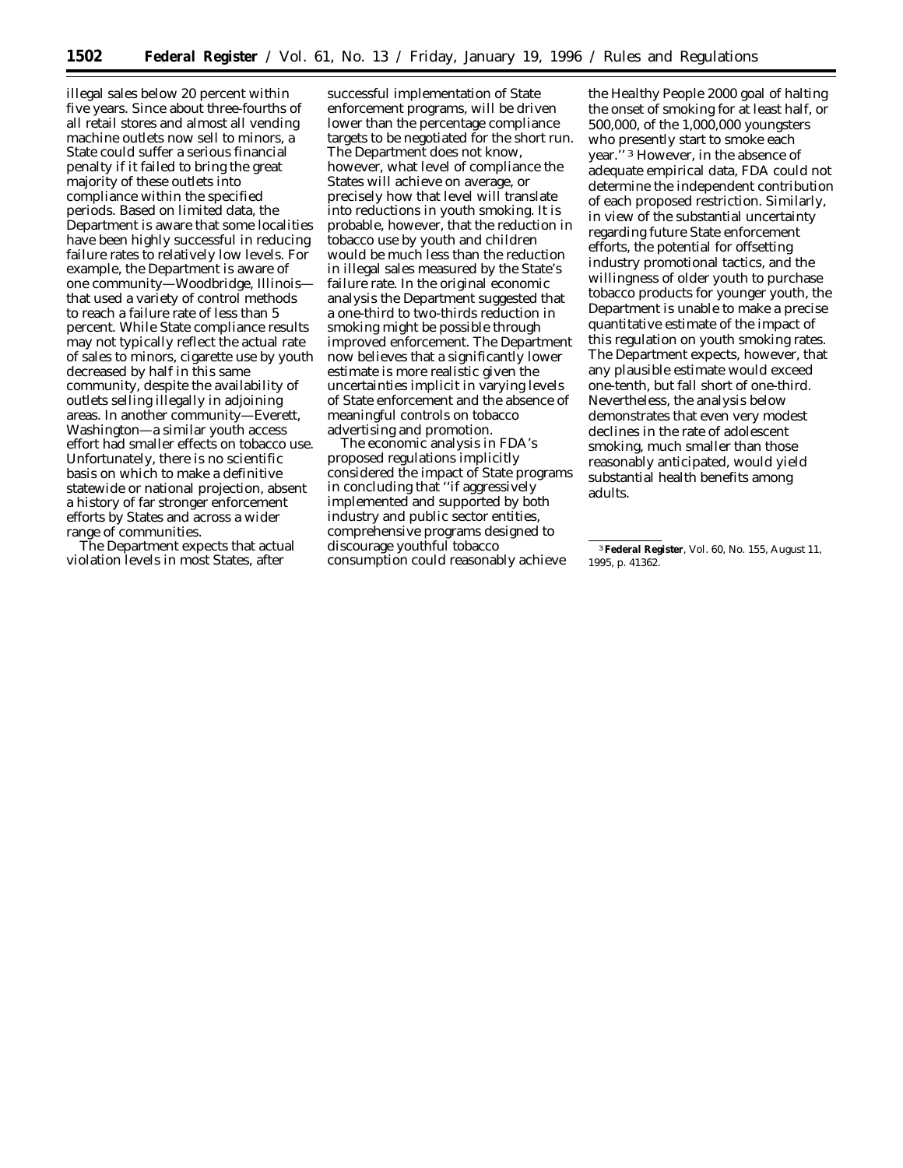illegal sales below 20 percent within five years. Since about three-fourths of all retail stores and almost all vending machine outlets now sell to minors, a State could suffer a serious financial penalty if it failed to bring the great majority of these outlets into compliance within the specified periods. Based on limited data, the Department is aware that some localities have been highly successful in reducing failure rates to relatively low levels. For example, the Department is aware of one community—Woodbridge, Illinois that used a variety of control methods to reach a failure rate of less than 5 percent. While State compliance results may not typically reflect the actual rate of sales to minors, cigarette use by youth decreased by half in this same community, despite the availability of outlets selling illegally in adjoining areas. In another community—Everett, Washington—a similar youth access effort had smaller effects on tobacco use. Unfortunately, there is no scientific basis on which to make a definitive statewide or national projection, absent a history of far stronger enforcement efforts by States and across a wider range of communities.

The Department expects that actual violation levels in most States, after

successful implementation of State enforcement programs, will be driven lower than the percentage compliance targets to be negotiated for the short run. The Department does not know, however, what level of compliance the States will achieve on average, or precisely how that level will translate into reductions in youth smoking. It is probable, however, that the reduction in tobacco use by youth and children would be much less than the reduction in illegal sales measured by the State's failure rate. In the original economic analysis the Department suggested that a one-third to two-thirds reduction in smoking might be possible through improved enforcement. The Department now believes that a significantly lower estimate is more realistic given the uncertainties implicit in varying levels of State enforcement and the absence of meaningful controls on tobacco advertising and promotion.

The economic analysis in FDA's proposed regulations implicitly considered the impact of State programs in concluding that ''if aggressively implemented and supported by both industry and public sector entities, comprehensive programs designed to discourage youthful tobacco consumption could reasonably achieve

the *Healthy People 2000* goal of halting the onset of smoking for at least half, or 500,000, of the 1,000,000 youngsters who presently start to smoke each year.'' 3 However, in the absence of adequate empirical data, FDA could not determine the independent contribution of each proposed restriction. Similarly, in view of the substantial uncertainty regarding future State enforcement efforts, the potential for offsetting industry promotional tactics, and the willingness of older youth to purchase tobacco products for younger youth, the Department is unable to make a precise quantitative estimate of the impact of this regulation on youth smoking rates. The Department expects, however, that any plausible estimate would exceed one-tenth, but fall short of one-third. Nevertheless, the analysis below demonstrates that even very modest declines in the rate of adolescent smoking, much smaller than those reasonably anticipated, would yield substantial health benefits among adults.

<sup>3</sup>**Federal Register**, Vol. 60, No. 155, August 11, 1995, p. 41362.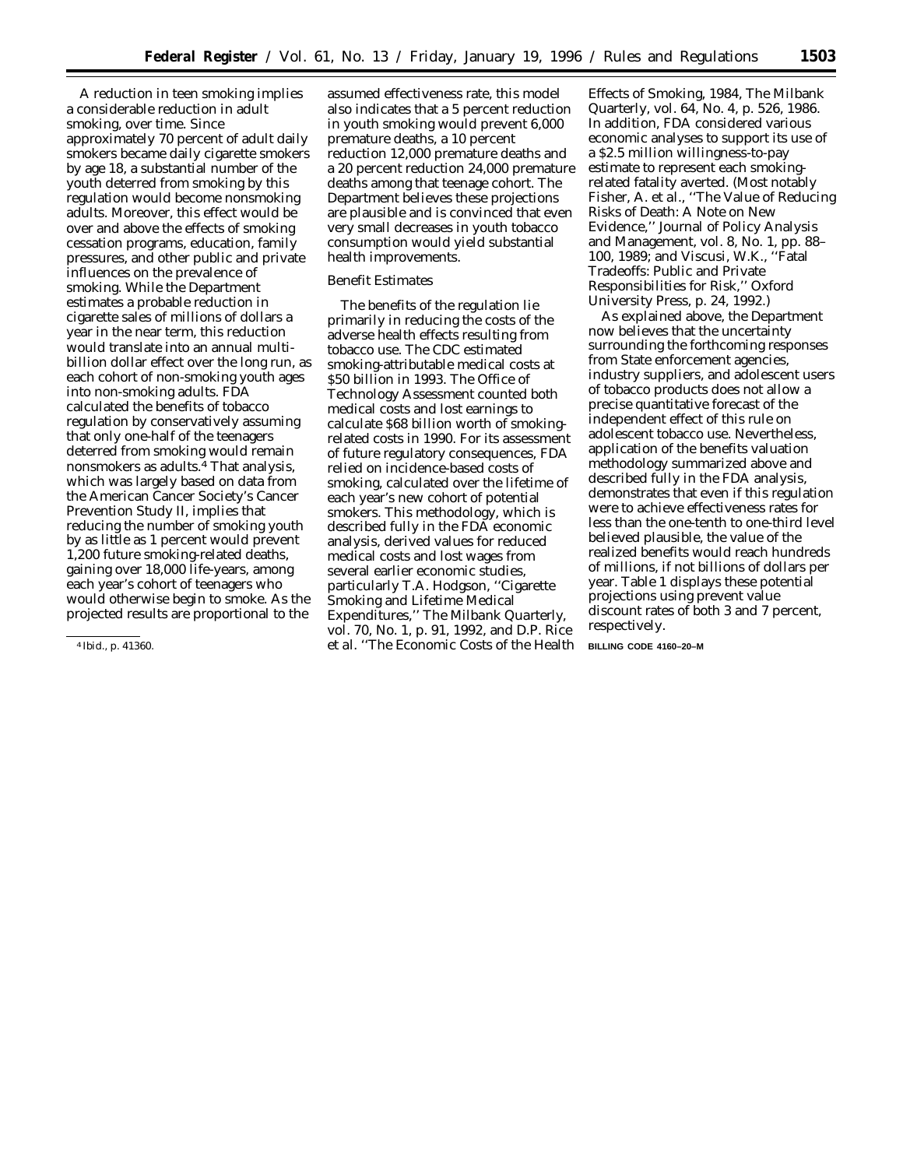A reduction in teen smoking implies a considerable reduction in adult smoking, over time. Since approximately 70 percent of adult daily smokers became daily cigarette smokers by age 18, a substantial number of the youth deterred from smoking by this regulation would become nonsmoking adults. Moreover, this effect would be over and above the effects of smoking cessation programs, education, family pressures, and other public and private influences on the prevalence of smoking. While the Department estimates a probable reduction in cigarette sales of millions of dollars a year in the near term, this reduction would translate into an annual multibillion dollar effect over the long run, as each cohort of non-smoking youth ages into non-smoking adults. FDA calculated the benefits of tobacco regulation by conservatively assuming that only one-half of the teenagers deterred from smoking would remain nonsmokers as adults.4 That analysis, which was largely based on data from the American Cancer Society's Cancer Prevention Study II, implies that reducing the number of smoking youth by as little as 1 percent would prevent 1,200 future smoking-related deaths, gaining over 18,000 life-years, among each year's cohort of teenagers who would otherwise begin to smoke. As the projected results are proportional to the

assumed effectiveness rate, this model also indicates that a 5 percent reduction in youth smoking would prevent 6,000 premature deaths, a 10 percent reduction 12,000 premature deaths and a 20 percent reduction 24,000 premature deaths among that teenage cohort. The Department believes these projections are plausible and is convinced that even very small decreases in youth tobacco consumption would yield substantial health improvements.

# *Benefit Estimates*

The benefits of the regulation lie primarily in reducing the costs of the adverse health effects resulting from tobacco use. The CDC estimated smoking-attributable medical costs at \$50 billion in 1993. The Office of Technology Assessment counted both medical costs and lost earnings to calculate \$68 billion worth of smokingrelated costs in 1990. For its assessment of future regulatory consequences, FDA relied on incidence-based costs of smoking, calculated over the lifetime of each year's new cohort of potential smokers. This methodology, which is described fully in the FDA economic analysis, derived values for reduced medical costs and lost wages from several earlier economic studies, particularly T.A. Hodgson, ''Cigarette Smoking and Lifetime Medical Expenditures,'' *The Milbank Quarterly,* vol. 70, No. 1, p. 91, 1992, and D.P. Rice *et al.* ''The Economic Costs of the Health

Effects of Smoking, 1984, The Milbank Quarterly, vol. 64, No. 4, p. 526, 1986. In addition, FDA considered various economic analyses to support its use of a \$2.5 million willingness-to-pay estimate to represent each smokingrelated fatality averted. (Most notably Fisher, A. *et al.*, "The Value of Reducing Risks of Death: A Note on New Evidence,'' Journal of Policy Analysis and Management, vol. 8, No. 1, pp. 88– 100, 1989; and Viscusi, W.K., ''Fatal Tradeoffs: Public and Private Responsibilities for Risk,'' Oxford University Press, p. 24, 1992.)

As explained above, the Department now believes that the uncertainty surrounding the forthcoming responses from State enforcement agencies, industry suppliers, and adolescent users of tobacco products does not allow a precise quantitative forecast of the independent effect of this rule on adolescent tobacco use. Nevertheless, application of the benefits valuation methodology summarized above and described fully in the FDA analysis, demonstrates that even if this regulation were to achieve effectiveness rates for less than the one-tenth to one-third level believed plausible, the value of the realized benefits would reach hundreds of millions, if not billions of dollars per year. Table 1 displays these potential projections using prevent value discount rates of both 3 and 7 percent, respectively.

**BILLING CODE 4160–20–M**

<sup>4</sup> Ibid., p. 41360.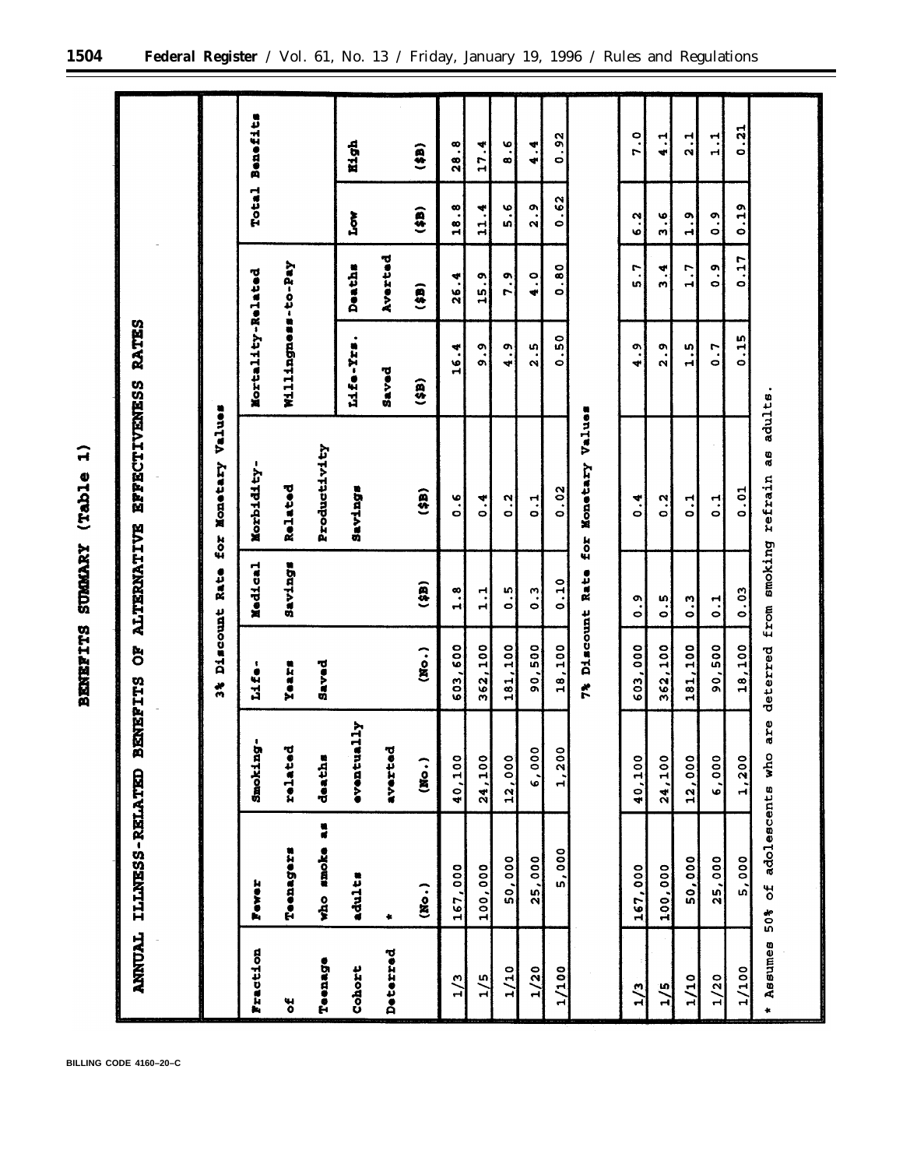| į           |
|-------------|
| Ì<br>ł<br>I |
| J           |
|             |

|               | ANNUAL ILLAESS-RELATED | <b>ENEFITS</b><br>A | ð                             | ALTERNATIVE        | <b>EFFECTVENESS</b>                  | <b>RATES</b>                    |                |                |                |
|---------------|------------------------|---------------------|-------------------------------|--------------------|--------------------------------------|---------------------------------|----------------|----------------|----------------|
|               |                        |                     |                               |                    | 3% Discount Rate for Monetary Values |                                 |                |                |                |
| Fraction      | Fewer                  | <b>Smoking-</b>     | Life-                         | <b>Medical</b>     | Morbidity-                           | Mortality-Related               |                |                | Total Benefits |
| ă             | Teanagers              | related             | <b>Years</b>                  | savings            | Related                              | Willingness-to-Pay              |                |                |                |
| Teenage       | who smoke as           | deaths              | Saved                         |                    | Productivity                         |                                 |                |                |                |
| Cohort        | adults                 | eventually          |                               |                    | savings                              | Life-Yrs.                       | Deaths         | <b>Aor</b>     | Eigh           |
| Deterred      | $\ddot{\phantom{1}}$   | averted             |                               |                    |                                      | Saved                           | Averted        |                |                |
|               | (180.1)                | (100.7)             | (100.1)                       | $\mathbf{\hat{a}}$ | $\mathbf{a}$                         | (33)                            | (33)           | $\mathbf{a}$   | (35)           |
| 1/3           | 167,000                | 40,100              | 603,600                       | $\frac{8}{11}$     | $\frac{6}{10}$                       | 16.4                            | 26.4           | 18.8           | 28.8           |
| $\frac{1}{5}$ | 100,000                | 24,100              | 362,100                       | $\frac{1}{1}$ .    | $\ddot{.}$                           | $\ddot{\phantom{0}}$            | 15.9           | 11.4           | 17.4           |
| 1/10          | 50,000                 | 12,000              | 181,100                       | $\frac{5}{2}$      | $\frac{2}{1}$                        | 4.9                             | 7.9            | $\frac{6}{5}$  | ه .<br>8       |
| 1/20          | 25,000                 | 6,000               | 90,500                        | $\ddot{0}$ .       | $\frac{1}{\circ}$                    | 2.5                             | $\ddot{•}$     | 2.9            | 4.4            |
| 1/100         | 5,000                  | 1,200               | 18,100                        | 0.10               | 0.02                                 | 0.50                            | 0.80           | 0.62           | 0.92           |
|               |                        |                     | 7% Discount Rate              |                    | for Monetary Values                  |                                 |                |                |                |
| $\frac{1}{2}$ | 167,000                | 40,100              | 603,000                       | $\ddot{\circ}$     | $\ddot{ }$                           | $\frac{9}{1}$                   | 5.7            | 6.2            | 7.0            |
| $\frac{1}{2}$ | 100,000                | 24,100              | 362,100                       | $\ddot{0}$ .       | $\ddot{0}$ .                         | 2.9                             | $\frac{4}{3}$  | ७<br>ल         | 4.1            |
| 1/10          | 50,000                 | 12,000              | 181,100                       | $\ddot{0}$ .       | $\frac{1}{2}$                        | $\frac{5}{1}$                   | 1.7            | $\frac{9}{11}$ | $\frac{1}{2}$  |
| 1/20          | 25,000                 | 6,000               | 90,500                        | $\frac{1}{2}$      | $\frac{1}{2}$                        | $\overline{C}$ . $\overline{D}$ | $\ddot{\circ}$ | $\frac{9}{10}$ | $\frac{1}{1}$  |
| 1/100         | 5,000                  | 1,200               | 18,100                        | 0.03               | 0.01                                 | 0.15                            | 0.17           | 0.19           | 0.21           |
| * Assumes     | 50% of adolescents who | are                 | deterred from smoking refrain |                    | adults<br>a<br>a                     |                                 |                |                |                |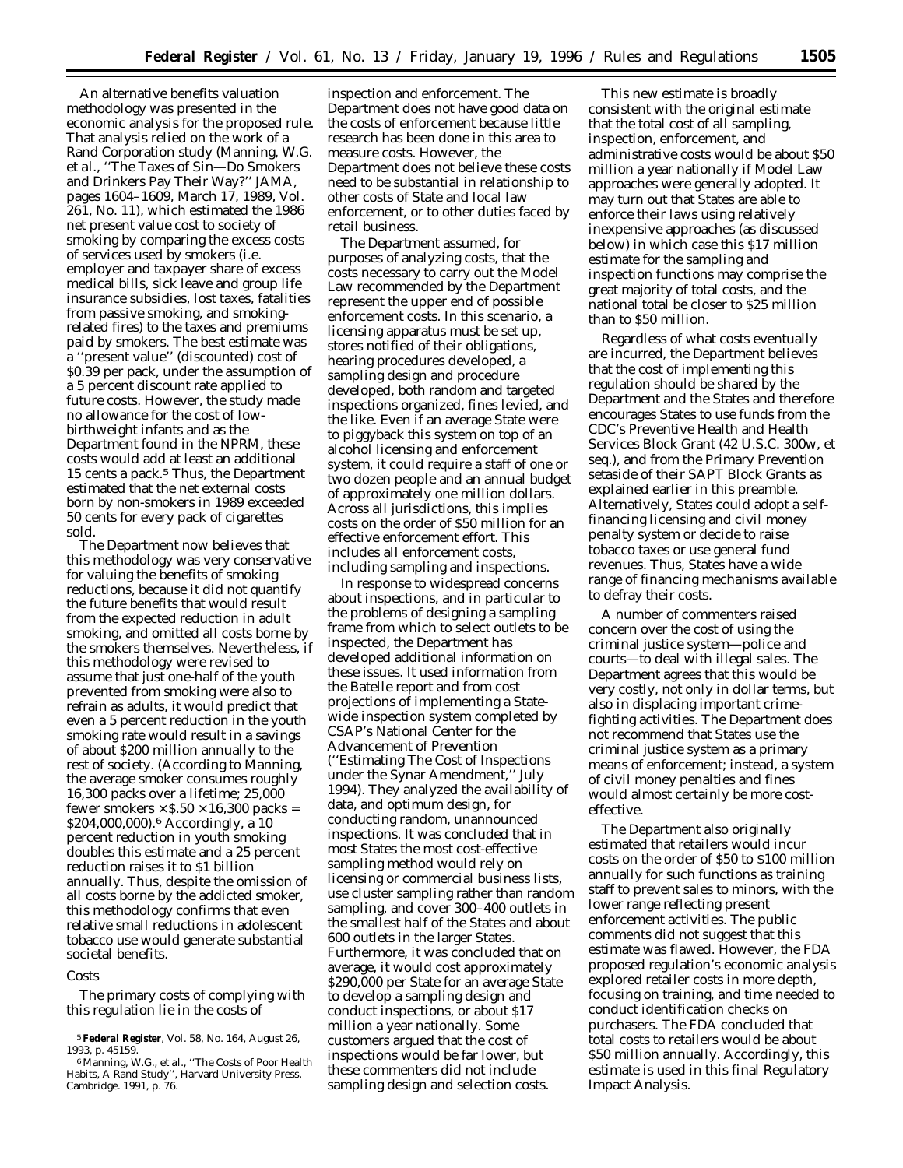An alternative benefits valuation methodology was presented in the economic analysis for the proposed rule. That analysis relied on the work of a Rand Corporation study (Manning, W.G. *et al.,* ''The Taxes of Sin—Do Smokers and Drinkers Pay Their Way?'' JAMA, pages 1604–1609, March 17, 1989, Vol. 261, No. 11), which estimated the 1986 net present value cost to society of smoking by comparing the excess costs of services used by smokers (i.e. employer and taxpayer share of excess medical bills, sick leave and group life insurance subsidies, lost taxes, fatalities from passive smoking, and smokingrelated fires) to the taxes and premiums paid by smokers. The best estimate was a ''present value'' (discounted) cost of \$0.39 per pack, under the assumption of a 5 percent discount rate applied to future costs. However, the study made no allowance for the cost of lowbirthweight infants and as the Department found in the NPRM, these costs would add at least an additional 15 cents a pack.5 Thus, the Department estimated that the net external costs born by non-smokers in 1989 exceeded 50 cents for every pack of cigarettes sold.

The Department now believes that this methodology was very conservative for valuing the benefits of smoking reductions, because it did not quantify the future benefits that would result from the expected reduction in adult smoking, and omitted all costs borne by the smokers themselves. Nevertheless, if this methodology were revised to assume that just one-half of the youth prevented from smoking were also to refrain as adults, it would predict that even a 5 percent reduction in the youth smoking rate would result in a savings of about \$200 million annually to the rest of society. (According to Manning, the average smoker consumes roughly 16,300 packs over a lifetime; 25,000 fewer smokers  $\times$  \$.50  $\times$  16,300 packs = \$204,000,000).6 Accordingly, a 10 percent reduction in youth smoking doubles this estimate and a 25 percent reduction raises it to \$1 billion annually. Thus, despite the omission of all costs borne by the addicted smoker, this methodology confirms that even relative small reductions in adolescent tobacco use would generate substantial societal benefits.

#### *Costs*

The primary costs of complying with this regulation lie in the costs of

inspection and enforcement. The Department does not have good data on the costs of enforcement because little research has been done in this area to measure costs. However, the Department does not believe these costs need to be substantial in relationship to other costs of State and local law enforcement, or to other duties faced by retail business.

The Department assumed, for purposes of analyzing costs, that the costs necessary to carry out the Model Law recommended by the Department represent the upper end of possible enforcement costs. In this scenario, a licensing apparatus must be set up, stores notified of their obligations, hearing procedures developed, a sampling design and procedure developed, both random and targeted inspections organized, fines levied, and the like. Even if an average State were to piggyback this system on top of an alcohol licensing and enforcement system, it could require a staff of one or two dozen people and an annual budget of approximately one million dollars. Across all jurisdictions, this implies costs on the order of \$50 million for an effective enforcement effort. This includes all enforcement costs, including sampling and inspections.

In response to widespread concerns about inspections, and in particular to the problems of designing a sampling frame from which to select outlets to be inspected, the Department has developed additional information on these issues. It used information from the Batelle report and from cost projections of implementing a Statewide inspection system completed by CSAP's National Center for the Advancement of Prevention (''Estimating The Cost of Inspections under the Synar Amendment,'' July 1994). They analyzed the availability of data, and optimum design, for conducting random, unannounced inspections. It was concluded that in most States the most cost-effective sampling method would rely on licensing or commercial business lists, use cluster sampling rather than random sampling, and cover 300–400 outlets in the smallest half of the States and about 600 outlets in the larger States. Furthermore, it was concluded that on average, it would cost approximately \$290,000 per State for an average State to develop a sampling design and conduct inspections, or about \$17 million a year nationally. Some customers argued that the cost of inspections would be far lower, but these commenters did not include sampling design and selection costs.

This new estimate is broadly consistent with the original estimate that the total cost of all sampling, inspection, enforcement, and administrative costs would be about \$50 million a year nationally if Model Law approaches were generally adopted. It may turn out that States are able to enforce their laws using relatively inexpensive approaches (as discussed below) in which case this \$17 million estimate for the sampling and inspection functions may comprise the great majority of total costs, and the national total be closer to \$25 million than to \$50 million.

Regardless of what costs eventually are incurred, the Department believes that the cost of implementing this regulation should be shared by the Department and the States and therefore encourages States to use funds from the CDC's Preventive Health and Health Services Block Grant (42 U.S.C. 300w, *et seq.*), and from the Primary Prevention setaside of their SAPT Block Grants as explained earlier in this preamble. Alternatively, States could adopt a selffinancing licensing and civil money penalty system or decide to raise tobacco taxes or use general fund revenues. Thus, States have a wide range of financing mechanisms available to defray their costs.

A number of commenters raised concern over the cost of using the criminal justice system—police and courts—to deal with illegal sales. The Department agrees that this would be very costly, not only in dollar terms, but also in displacing important crimefighting activities. The Department does not recommend that States use the criminal justice system as a primary means of enforcement; instead, a system of civil money penalties and fines would almost certainly be more costeffective.

The Department also originally estimated that retailers would incur costs on the order of \$50 to \$100 million annually for such functions as training staff to prevent sales to minors, with the lower range reflecting present enforcement activities. The public comments did not suggest that this estimate was flawed. However, the FDA proposed regulation's economic analysis explored retailer costs in more depth, focusing on training, and time needed to conduct identification checks on purchasers. The FDA concluded that total costs to retailers would be about \$50 million annually. Accordingly, this estimate is used in this final Regulatory Impact Analysis.

<sup>5</sup>**Federal Register**, Vol. 58, No. 164, August 26, 1993, p. 45159.

<sup>6</sup>Manning, W.G., *et al.,* ''The Costs of Poor Health Habits, A Rand Study'', Harvard University Press, Cambridge. 1991, p. 76.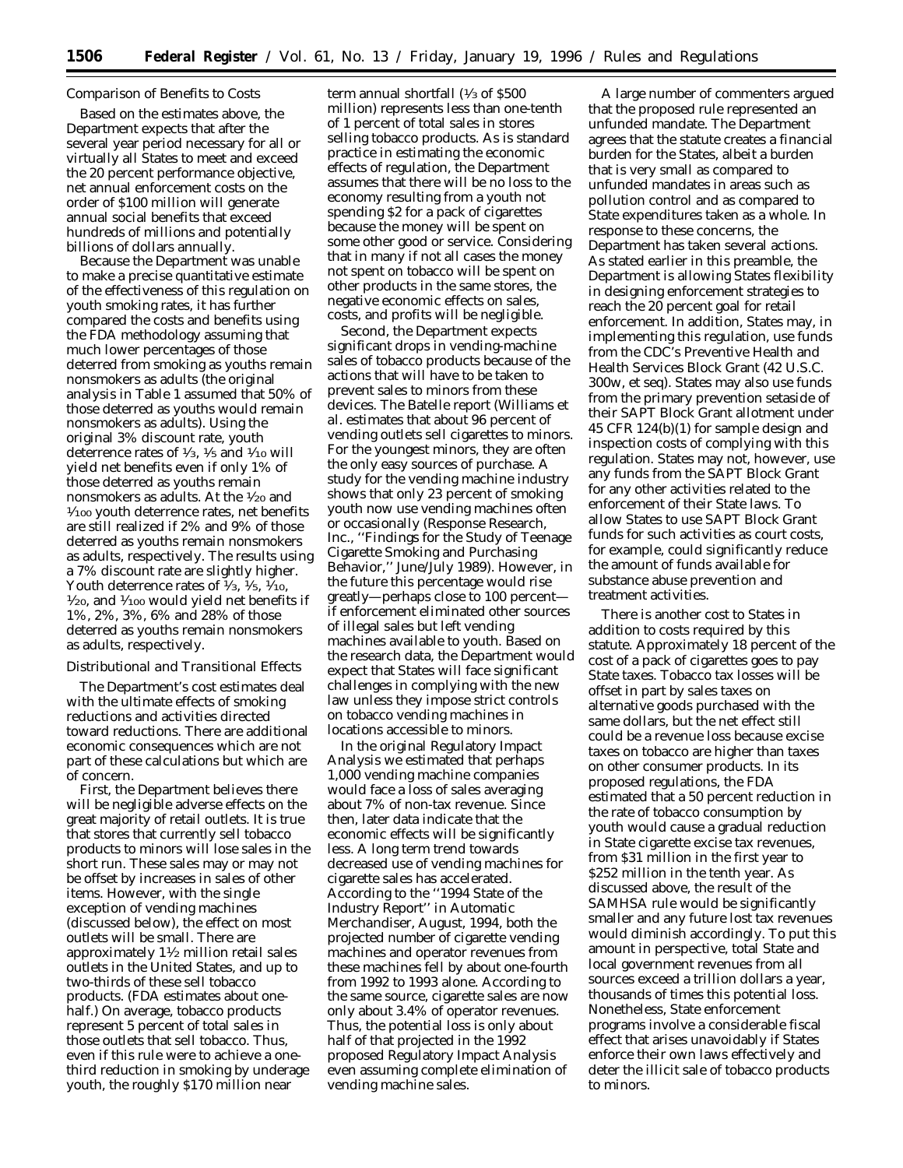# *Comparison of Benefits to Costs*

Based on the estimates above, the Department expects that after the several year period necessary for all or virtually all States to meet and exceed the 20 percent performance objective, net annual enforcement costs on the order of \$100 million will generate annual social benefits that exceed hundreds of millions and potentially billions of dollars annually.

Because the Department was unable to make a precise quantitative estimate of the effectiveness of this regulation on youth smoking rates, it has further compared the costs and benefits using the FDA methodology assuming that much lower percentages of those deterred from smoking as youths remain nonsmokers as adults (the original analysis in Table 1 assumed that 50% of those deterred as youths would remain nonsmokers as adults). Using the original 3% discount rate, youth deterrence rates of  $\frac{1}{3}$ ,  $\frac{1}{5}$  and  $\frac{1}{10}$  will yield net benefits even if only 1% of those deterred as youths remain nonsmokers as adults. At the 1/20 and  $\frac{1}{100}$  youth deterrence rates, net benefits are still realized if 2% and 9% of those deterred as youths remain nonsmokers as adults, respectively. The results using a 7% discount rate are slightly higher. Youth deterrence rates of  $\frac{1}{3}$ ,  $\frac{1}{5}$ ,  $\frac{1}{10}$ ,  $\frac{1}{20}$ , and  $\frac{1}{100}$  would yield net benefits if 1%, 2%, 3%, 6% and 28% of those deterred as youths remain nonsmokers as adults, respectively.

# *Distributional and Transitional Effects*

The Department's cost estimates deal with the ultimate effects of smoking reductions and activities directed toward reductions. There are additional economic consequences which are not part of these calculations but which are of concern.

First, the Department believes there will be negligible adverse effects on the great majority of retail outlets. It is true that stores that currently sell tobacco products to minors will lose sales in the short run. These sales may or may not be offset by increases in sales of other items. However, with the single exception of vending machines (discussed below), the effect on most outlets will be small. There are approximately  $1\frac{1}{2}$  million retail sales outlets in the United States, and up to two-thirds of these sell tobacco products. (FDA estimates about onehalf.) On average, tobacco products represent 5 percent of total sales in those outlets that sell tobacco. Thus, even if this rule were to achieve a onethird reduction in smoking by underage youth, the roughly \$170 million near

term annual shortfall (1/3 of \$500 million) represents less than one-tenth of 1 percent of total sales in stores selling tobacco products. As is standard practice in estimating the economic effects of regulation, the Department assumes that there will be no loss to the economy resulting from a youth not spending \$2 for a pack of cigarettes because the money will be spent on some other good or service. Considering that in many if not all cases the money not spent on tobacco will be spent on other products in the same stores, the negative economic effects on sales, costs, and profits will be negligible.

Second, the Department expects significant drops in vending-machine sales of tobacco products because of the actions that will have to be taken to prevent sales to minors from these devices. The Batelle report (Williams *et al.* estimates that about 96 percent of vending outlets sell cigarettes to minors. For the youngest minors, they are often the only easy sources of purchase. A study for the vending machine industry shows that only 23 percent of smoking youth now use vending machines often or occasionally (Response Research, Inc., ''Findings for the Study of Teenage Cigarette Smoking and Purchasing Behavior,'' June/July 1989). However, in the future this percentage would rise greatly—perhaps close to 100 percent if enforcement eliminated other sources of illegal sales but left vending machines available to youth. Based on the research data, the Department would expect that States will face significant challenges in complying with the new law unless they impose strict controls on tobacco vending machines in locations accessible to minors.

In the original Regulatory Impact Analysis we estimated that perhaps 1,000 vending machine companies would face a loss of sales averaging about 7% of non-tax revenue. Since then, later data indicate that the economic effects will be significantly less. A long term trend towards decreased use of vending machines for cigarette sales has accelerated. According to the ''1994 State of the Industry Report'' in *Automatic Merchandiser,* August, 1994, both the projected number of cigarette vending machines and operator revenues from these machines fell by about one-fourth from 1992 to 1993 alone. According to the same source, cigarette sales are now only about 3.4% of operator revenues. Thus, the potential loss is only about half of that projected in the 1992 proposed Regulatory Impact Analysis even assuming complete elimination of vending machine sales.

A large number of commenters argued that the proposed rule represented an unfunded mandate. The Department agrees that the statute creates a financial burden for the States, albeit a burden that is very small as compared to unfunded mandates in areas such as pollution control and as compared to State expenditures taken as a whole. In response to these concerns, the Department has taken several actions. As stated earlier in this preamble, the Department is allowing States flexibility in designing enforcement strategies to reach the 20 percent goal for retail enforcement. In addition, States may, in implementing this regulation, use funds from the CDC's Preventive Health and Health Services Block Grant (42 U.S.C. 300w, *et seq*). States may also use funds from the primary prevention setaside of their SAPT Block Grant allotment under 45 CFR 124(b)(1) for sample design and inspection costs of complying with this regulation. States may not, however, use any funds from the SAPT Block Grant for any other activities related to the enforcement of their State laws. To allow States to use SAPT Block Grant funds for such activities as court costs, for example, could significantly reduce the amount of funds available for substance abuse prevention and treatment activities.

There is another cost to States in addition to costs required by this statute. Approximately 18 percent of the cost of a pack of cigarettes goes to pay State taxes. Tobacco tax losses will be offset in part by sales taxes on alternative goods purchased with the same dollars, but the net effect still could be a revenue loss because excise taxes on tobacco are higher than taxes on other consumer products. In its proposed regulations, the FDA estimated that a 50 percent reduction in the rate of tobacco consumption by youth would cause a gradual reduction in State cigarette excise tax revenues, from \$31 million in the first year to \$252 million in the tenth year. As discussed above, the result of the SAMHSA rule would be significantly smaller and any future lost tax revenues would diminish accordingly. To put this amount in perspective, total State and local government revenues from all sources exceed a trillion dollars a year, thousands of times this potential loss. Nonetheless, State enforcement programs involve a considerable fiscal effect that arises unavoidably if States enforce their own laws effectively and deter the illicit sale of tobacco products to minors.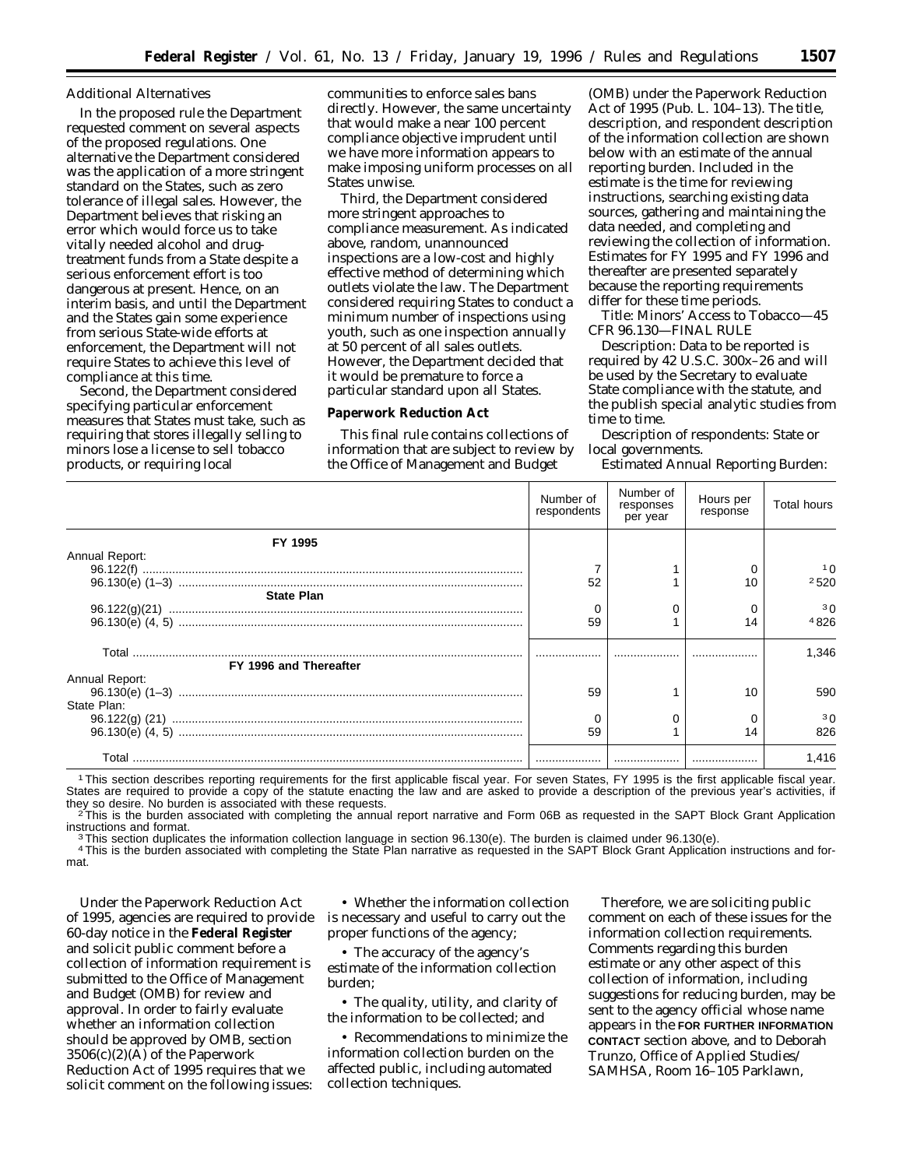# *Additional Alternatives*

In the proposed rule the Department requested comment on several aspects of the proposed regulations. One alternative the Department considered was the application of a more stringent standard on the States, such as zero tolerance of illegal sales. However, the Department believes that risking an error which would force us to take vitally needed alcohol and drugtreatment funds from a State despite a serious enforcement effort is too dangerous at present. Hence, on an *interim* basis, and until the Department and the States gain some experience from serious State-wide efforts at enforcement, the Department will not require States to achieve this level of compliance at this time.

Second, the Department considered specifying particular enforcement measures that States must take, such as requiring that stores illegally selling to minors lose a license to sell tobacco products, or requiring local

communities to enforce sales bans directly. However, the same uncertainty that would make a near 100 percent compliance objective imprudent until we have more information appears to make imposing uniform processes on all States unwise.

Third, the Department considered more stringent approaches to compliance measurement. As indicated above, random, unannounced inspections are a low-cost and highly effective method of determining which outlets violate the law. The Department considered requiring States to conduct a minimum number of inspections using youth, such as one inspection annually at 50 percent of all sales outlets. However, the Department decided that it would be premature to force a particular standard upon all States.

# **Paperwork Reduction Act**

This final rule contains collections of information that are subject to review by the Office of Management and Budget

(OMB) under the Paperwork Reduction Act of 1995 (Pub. L. 104–13). The title, description, and respondent description of the information collection are shown below with an estimate of the annual reporting burden. Included in the estimate is the time for reviewing instructions, searching existing data sources, gathering and maintaining the data needed, and completing and reviewing the collection of information. Estimates for FY 1995 and FY 1996 and thereafter are presented separately because the reporting requirements differ for these time periods.

*Title:* Minors' Access to Tobacco—45 CFR 96.130—FINAL RULE

*Description:* Data to be reported is required by 42 U.S.C. 300x–26 and will be used by the Secretary to evaluate State compliance with the statute, and the publish special analytic studies from time to time.

*Description of respondents:* State or local governments.

*Estimated Annual Reporting Burden:*

|                        | Number of<br>respondents | Number of<br>responses<br>per year | Hours per<br>response | Total hours |
|------------------------|--------------------------|------------------------------------|-----------------------|-------------|
| FY 1995                |                          |                                    |                       |             |
| Annual Report:         |                          |                                    |                       |             |
|                        |                          |                                    |                       | 1 O         |
|                        | 52                       |                                    | 10                    | 2520        |
| <b>State Plan</b>      |                          |                                    |                       |             |
|                        |                          |                                    |                       | 30          |
|                        | 59                       |                                    | 14                    | 4826        |
|                        |                          |                                    |                       | 1.346       |
| FY 1996 and Thereafter |                          |                                    |                       |             |
| Annual Report:         |                          |                                    |                       |             |
|                        | 59                       |                                    | 10                    | 590         |
| State Plan:            |                          |                                    |                       |             |
|                        |                          |                                    |                       | 30          |
|                        | 59                       |                                    | 14                    | 826         |
| Total                  |                          |                                    |                       | 1.416       |

1This section describes reporting requirements for the first applicable fiscal year. For seven States, FY 1995 is the first applicable fiscal year. States are required to provide a copy of the statute enacting the law and are asked to provide a description of the previous year's activities, if they so desire. No burden is associated with these requests.<br><sup>2</sup>This is the burden associated with completing the annual report narrative and Form 06B as requested in the SAPT Block Grant Application

instructions and format.<br>3This section duplicates the information collection language in section 96.130(e). The burden is claimed under 96.130(e).

4This is the burden associated with completing the State Plan narrative as requested in the SAPT Block Grant Application instructions and format.

Under the Paperwork Reduction Act of 1995, agencies are required to provide 60-day notice in the **Federal Register** and solicit public comment before a collection of information requirement is submitted to the Office of Management and Budget (OMB) for review and approval. In order to fairly evaluate whether an information collection should be approved by OMB, section 3506(c)(2)(A) of the Paperwork Reduction Act of 1995 requires that we solicit comment on the following issues:

• Whether the information collection is necessary and useful to carry out the proper functions of the agency;

• The accuracy of the agency's estimate of the information collection burden;

• The quality, utility, and clarity of the information to be collected; and

• Recommendations to minimize the information collection burden on the affected public, including automated collection techniques.

Therefore, we are soliciting public comment on each of these issues for the information collection requirements. Comments regarding this burden estimate or any other aspect of this collection of information, including suggestions for reducing burden, may be sent to the agency official whose name appears in the **FOR FURTHER INFORMATION CONTACT** section above, and to Deborah Trunzo, Office of Applied Studies/ SAMHSA, Room 16–105 Parklawn,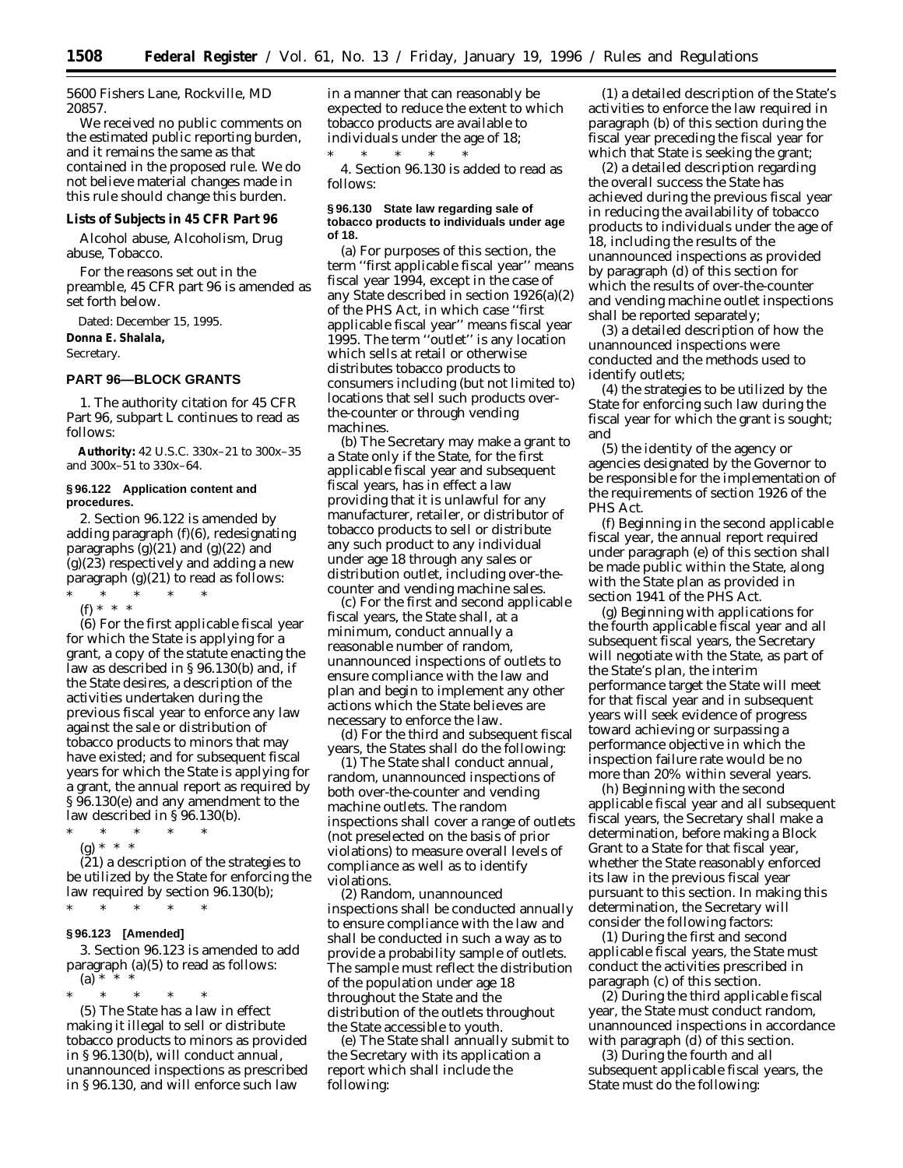5600 Fishers Lane, Rockville, MD 20857.

We received no public comments on the estimated public reporting burden, and it remains the same as that contained in the proposed rule. We do not believe material changes made in this rule should change this burden.

**Lists of Subjects in 45 CFR Part 96**

Alcohol abuse, Alcoholism, Drug abuse, Tobacco.

For the reasons set out in the preamble, 45 CFR part 96 is amended as set forth below.

Dated: December 15, 1995. **Donna E. Shalala,** *Secretary.*

### **PART 96—BLOCK GRANTS**

1. The authority citation for 45 CFR Part 96, subpart L continues to read as follows:

**Authority:** 42 U.S.C. 330x–21 to 300x–35 and 300x–51 to 330x–64.

#### **§ 96.122 Application content and procedures.**

2. Section 96.122 is amended by adding paragraph (f)(6), redesignating paragraphs  $(g)(21)$  and  $(g)(22)$  and  $(g)(23)$  respectively and adding a new paragraph  $(g)(21)$  to read as follows:

\* \* \* \* \* (f) \* \* \*

(6) For the first applicable fiscal year for which the State is applying for a grant, a copy of the statute enacting the law as described in § 96.130(b) and, if the State desires, a description of the activities undertaken during the previous fiscal year to enforce any law against the sale or distribution of tobacco products to minors that may have existed; and for subsequent fiscal years for which the State is applying for a grant, the annual report as required by § 96.130(e) and any amendment to the law described in § 96.130(b).

\* \* \* \* \*

 $(g) * * * *$ 

(21) a description of the strategies to be utilized by the State for enforcing the law required by section 96.130(b); \* \* \* \* \*

# **§ 96.123 [Amended]**

3. Section 96.123 is amended to add paragraph (a)(5) to read as follows:  $(a) * * * *$ 

\* \* \* \* \* (5) The State has a law in effect making it illegal to sell or distribute tobacco products to minors as provided in § 96.130(b), will conduct annual, unannounced inspections as prescribed in § 96.130, and will enforce such law

in a manner that can reasonably be expected to reduce the extent to which tobacco products are available to individuals under the age of 18;

\* \* \* \* \* 4. Section 96.130 is added to read as follows:

# **§ 96.130 State law regarding sale of tobacco products to individuals under age of 18.**

(a) For purposes of this section, the term ''first applicable fiscal year'' means fiscal year 1994, except in the case of any State described in section 1926(a)(2) of the PHS Act, in which case ''first applicable fiscal year'' means fiscal year 1995. The term ''outlet'' is any location which sells at retail or otherwise distributes tobacco products to consumers including (but not limited to) locations that sell such products overthe-counter or through vending machines.

(b) The Secretary may make a grant to a State only if the State, for the first applicable fiscal year and subsequent fiscal years, has in effect a law providing that it is unlawful for any manufacturer, retailer, or distributor of tobacco products to sell or distribute any such product to any individual under age 18 through any sales or distribution outlet, including over-thecounter and vending machine sales.

(c) For the first and second applicable fiscal years, the State shall, at a minimum, conduct annually a reasonable number of random, unannounced inspections of outlets to ensure compliance with the law and plan and begin to implement any other actions which the State believes are necessary to enforce the law.

(d) For the third and subsequent fiscal years, the States shall do the following:

(1) The State shall conduct annual, random, unannounced inspections of both over-the-counter and vending machine outlets. The random inspections shall cover a range of outlets (not preselected on the basis of prior violations) to measure overall levels of compliance as well as to identify violations.

(2) Random, unannounced inspections shall be conducted annually to ensure compliance with the law and shall be conducted in such a way as to provide a probability sample of outlets. The sample must reflect the distribution of the population under age 18 throughout the State and the distribution of the outlets throughout the State accessible to youth.

(e) The State shall annually submit to the Secretary with its application a report which shall include the following:

(1) a detailed description of the State's activities to enforce the law required in paragraph (b) of this section during the fiscal year preceding the fiscal year for which that State is seeking the grant;

(2) a detailed description regarding the overall success the State has achieved during the previous fiscal year in reducing the availability of tobacco products to individuals under the age of 18, including the results of the unannounced inspections as provided by paragraph (d) of this section for which the results of over-the-counter and vending machine outlet inspections shall be reported separately;

(3) a detailed description of how the unannounced inspections were conducted and the methods used to identify outlets;

(4) the strategies to be utilized by the State for enforcing such law during the fiscal year for which the grant is sought; and

(5) the identity of the agency or agencies designated by the Governor to be responsible for the implementation of the requirements of section 1926 of the PHS Act.

(f) Beginning in the second applicable fiscal year, the annual report required under paragraph (e) of this section shall be made public within the State, along with the State plan as provided in section 1941 of the PHS Act.

(g) Beginning with applications for the fourth applicable fiscal year and all subsequent fiscal years, the Secretary will negotiate with the State, as part of the State's plan, the interim performance target the State will meet for that fiscal year and in subsequent years will seek evidence of progress toward achieving or surpassing a performance objective in which the inspection failure rate would be no more than 20% within several years.

(h) Beginning with the second applicable fiscal year and all subsequent fiscal years, the Secretary shall make a determination, before making a Block Grant to a State for that fiscal year, whether the State reasonably enforced its law in the previous fiscal year pursuant to this section. In making this determination, the Secretary will consider the following factors:

(1) During the first and second applicable fiscal years, the State must conduct the activities prescribed in paragraph (c) of this section.

(2) During the third applicable fiscal year, the State must conduct random, unannounced inspections in accordance with paragraph (d) of this section.

(3) During the fourth and all subsequent applicable fiscal years, the State must do the following: